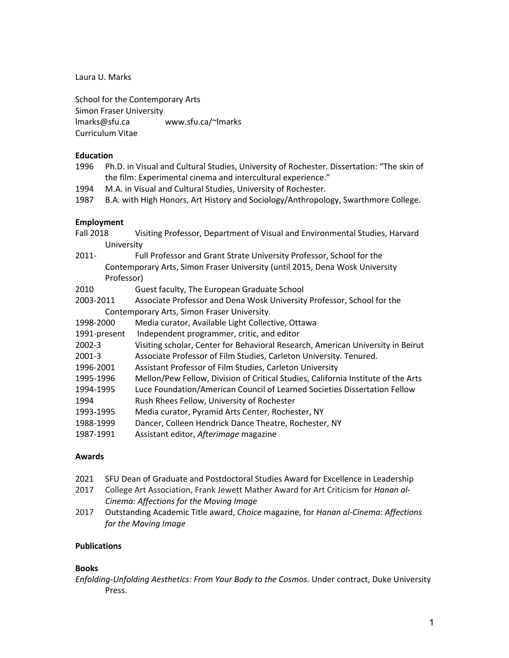Laura U. Marks

School for the Contemporary Arts Simon Fraser University lmarks@sfu.ca www.sfu.ca/~lmarks Curriculum Vitae

# **Education**

- 1996 Ph.D. in Visual and Cultural Studies, University of Rochester. Dissertation: "The skin of the film: Experimental cinema and intercultural experience."
- 1994 M.A. in Visual and Cultural Studies, University of Rochester.

1987 B.A. with High Honors, Art History and Sociology/Anthropology, Swarthmore College.

# **Employment**

- Fall 2018 Visiting Professor, Department of Visual and Environmental Studies, Harvard University
- 2011- Full Professor and Grant Strate University Professor, School for the Contemporary Arts, Simon Fraser University (until 2015, Dena Wosk University Professor)
- 2010 Guest faculty, The European Graduate School
- 2003-2011 Associate Professor and Dena Wosk University Professor, School for the Contemporary Arts, Simon Fraser University.
- 1998-2000 Media curator, Available Light Collective, Ottawa
- 1991-present Independent programmer, critic, and editor
- 2002-3 Visiting scholar, Center for Behavioral Research, American University in Beirut
- 2001-3 Associate Professor of Film Studies, Carleton University. Tenured.
- 1996-2001 Assistant Professor of Film Studies, Carleton University
- 1995-1996 Mellon/Pew Fellow, Division of Critical Studies, California Institute of the Arts
- 1994-1995 Luce Foundation/American Council of Learned Societies Dissertation Fellow
- 1994 Rush Rhees Fellow, University of Rochester
- 1993-1995 Media curator, Pyramid Arts Center, Rochester, NY
- 1988-1999 Dancer, Colleen Hendrick Dance Theatre, Rochester, NY
- 1987-1991 Assistant editor, *Afterimage* magazine

# **Awards**

- 2021 SFU Dean of Graduate and Postdoctoral Studies Award for Excellence in Leadership
- 2017 College Art Association, Frank Jewett Mather Award for Art Criticism for *Hanan al-Cinema: Affections for the Moving Image*
- 2017 Outstanding Academic Title award, *Choice* magazine, for *Hanan al-Cinema: Affections for the Moving Image*

# **Publications**

# **Books**

*Enfolding-Unfolding Aesthetics: From Your Body to the Cosmos*. Under contract, Duke University Press.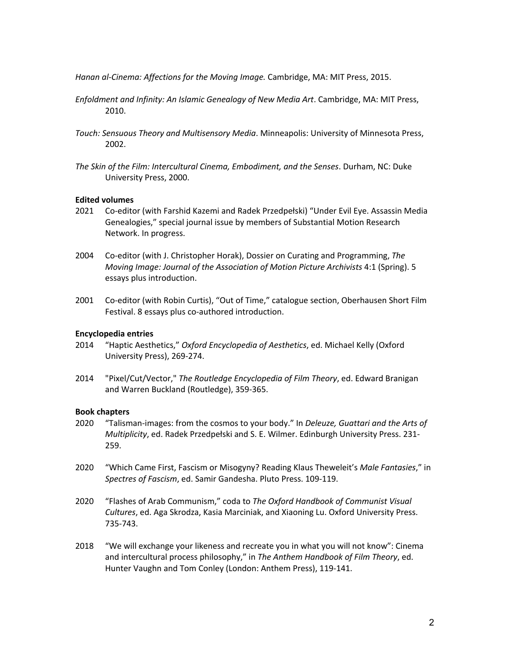*Hanan al-Cinema: Affections for the Moving Image.* Cambridge, MA: MIT Press, 2015.

- *Enfoldment and Infinity: An Islamic Genealogy of New Media Art*. Cambridge, MA: MIT Press, 2010.
- *Touch: Sensuous Theory and Multisensory Media*. Minneapolis: University of Minnesota Press, 2002.
- *The Skin of the Film: Intercultural Cinema, Embodiment, and the Senses*. Durham, NC: Duke University Press, 2000.

#### **Edited volumes**

- 2021 Co-editor (with Farshid Kazemi and Radek Przedpełski) "Under Evil Eye. Assassin Media Genealogies," special journal issue by members of Substantial Motion Research Network. In progress.
- 2004 Co-editor (with J. Christopher Horak), Dossier on Curating and Programming, *The Moving Image: Journal of the Association of Motion Picture Archivists* 4:1 (Spring). 5 essays plus introduction.
- 2001 Co-editor (with Robin Curtis), "Out of Time," catalogue section, Oberhausen Short Film Festival. 8 essays plus co-authored introduction.

### **Encyclopedia entries**

- 2014 "Haptic Aesthetics," *Oxford Encyclopedia of Aesthetics*, ed. Michael Kelly (Oxford University Press), 269-274.
- 2014 "Pixel/Cut/Vector," *The Routledge Encyclopedia of Film Theory*, ed. Edward Branigan and Warren Buckland (Routledge), 359-365.

#### **Book chapters**

- 2020 "Talisman-images: from the cosmos to your body." In *Deleuze, Guattari and the Arts of Multiplicity*, ed. Radek Przedpełski and S. E. Wilmer. Edinburgh University Press. 231- 259.
- 2020 "Which Came First, Fascism or Misogyny? Reading Klaus Theweleit's *Male Fantasies*," in *Spectres of Fascism*, ed. Samir Gandesha. Pluto Press. 109-119.
- 2020 "Flashes of Arab Communism," coda to *The Oxford Handbook of Communist Visual Cultures*, ed. Aga Skrodza, Kasia Marciniak, and Xiaoning Lu. Oxford University Press. 735-743.
- 2018 "We will exchange your likeness and recreate you in what you will not know": Cinema and intercultural process philosophy," in *The Anthem Handbook of Film Theory*, ed. Hunter Vaughn and Tom Conley (London: Anthem Press), 119-141.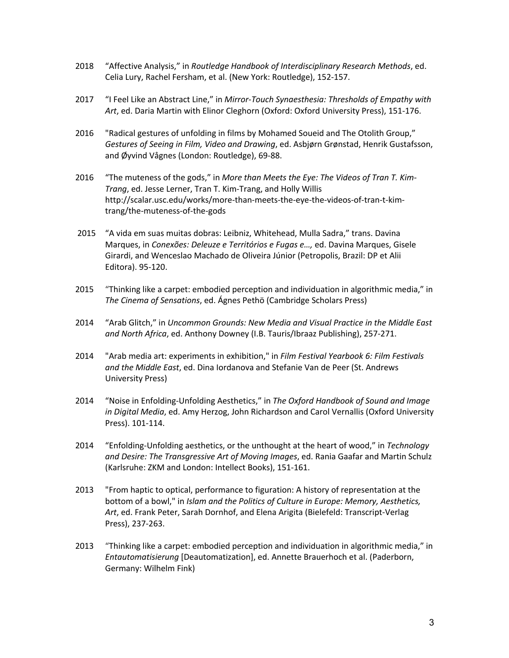- 2018 "Affective Analysis," in *Routledge Handbook of Interdisciplinary Research Methods*, ed. Celia Lury, Rachel Fersham, et al. (New York: Routledge), 152-157.
- 2017 "I Feel Like an Abstract Line," in *Mirror-Touch Synaesthesia: Thresholds of Empathy with Art*, ed. Daria Martin with Elinor Cleghorn (Oxford: Oxford University Press), 151-176.
- 2016 "Radical gestures of unfolding in films by Mohamed Soueid and The Otolith Group," *Gestures of Seeing in Film, Video and Drawing*, ed. Asbjørn Grønstad, Henrik Gustafsson, and Øyvind Vågnes (London: Routledge), 69-88.
- 2016 "The muteness of the gods," in *More than Meets the Eye: The Videos of Tran T. Kim-Trang*, ed. Jesse Lerner, Tran T. Kim-Trang, and Holly Willis http://scalar.usc.edu/works/more-than-meets-the-eye-the-videos-of-tran-t-kimtrang/the-muteness-of-the-gods
- 2015 "A vida em suas muitas dobras: Leibniz, Whitehead, Mulla Sadra," trans. Davina Marques, in *Conexões: Deleuze e Territórios e Fugas e…,* ed. Davina Marques, Gisele Girardi, and Wenceslao Machado de Oliveira Júnior (Petropolis, Brazil: DP et Alii Editora). 95-120.
- 2015 "Thinking like a carpet: embodied perception and individuation in algorithmic media," in *The Cinema of Sensations*, ed. Ágnes Pethö (Cambridge Scholars Press)
- 2014 "Arab Glitch," in *Uncommon Grounds: New Media and Visual Practice in the Middle East and North Africa*, ed. Anthony Downey (I.B. Tauris/Ibraaz Publishing), 257-271.
- 2014 "Arab media art: experiments in exhibition," in *Film Festival Yearbook 6: Film Festivals and the Middle East*, ed. Dina Iordanova and Stefanie Van de Peer (St. Andrews University Press)
- 2014 "Noise in Enfolding-Unfolding Aesthetics," in *The Oxford Handbook of Sound and Image in Digital Media*, ed. Amy Herzog, John Richardson and Carol Vernallis (Oxford University Press). 101-114.
- 2014 "Enfolding-Unfolding aesthetics, or the unthought at the heart of wood," in *Technology and Desire: The Transgressive Art of Moving Images*, ed. Rania Gaafar and Martin Schulz (Karlsruhe: ZKM and London: Intellect Books), 151-161.
- 2013 "From haptic to optical, performance to figuration: A history of representation at the bottom of a bowl," in *Islam and the Politics of Culture in Europe: Memory, Aesthetics, Art*, ed. Frank Peter, Sarah Dornhof, and Elena Arigita (Bielefeld: Transcript-Verlag Press), 237-263.
- 2013 "Thinking like a carpet: embodied perception and individuation in algorithmic media," in *Entautomatisierung* [Deautomatization], ed. Annette Brauerhoch et al. (Paderborn, Germany: Wilhelm Fink)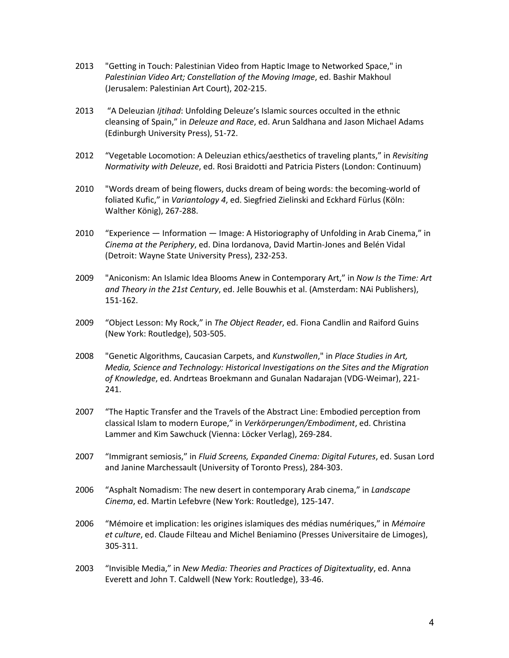- 2013 "Getting in Touch: Palestinian Video from Haptic Image to Networked Space," in *Palestinian Video Art; Constellation of the Moving Image*, ed. Bashir Makhoul (Jerusalem: Palestinian Art Court), 202-215.
- 2013 "A Deleuzian *Ijtihad*: Unfolding Deleuze's Islamic sources occulted in the ethnic cleansing of Spain," in *Deleuze and Race*, ed. Arun Saldhana and Jason Michael Adams (Edinburgh University Press), 51-72.
- 2012 "Vegetable Locomotion: A Deleuzian ethics/aesthetics of traveling plants," in *Revisiting Normativity with Deleuze*, ed. Rosi Braidotti and Patricia Pisters (London: Continuum)
- 2010 "Words dream of being flowers, ducks dream of being words: the becoming-world of foliated Kufic," in *Variantology 4*, ed. Siegfried Zielinski and Eckhard Fürlus (Köln: Walther König), 267-288.
- 2010 "Experience Information Image: A Historiography of Unfolding in Arab Cinema," in *Cinema at the Periphery*, ed. Dina Iordanova, David Martin-Jones and Belén Vidal (Detroit: Wayne State University Press), 232-253.
- 2009 "Aniconism: An Islamic Idea Blooms Anew in Contemporary Art," in *Now Is the Time: Art and Theory in the 21st Century*, ed. Jelle Bouwhis et al. (Amsterdam: NAi Publishers), 151-162.
- 2009 "Object Lesson: My Rock," in *The Object Reader*, ed. Fiona Candlin and Raiford Guins (New York: Routledge), 503-505.
- 2008 "Genetic Algorithms, Caucasian Carpets, and *Kunstwollen*," in *Place Studies in Art, Media, Science and Technology: Historical Investigations on the Sites and the Migration of Knowledge*, ed. Andrteas Broekmann and Gunalan Nadarajan (VDG-Weimar), 221- 241.
- 2007 "The Haptic Transfer and the Travels of the Abstract Line: Embodied perception from classical Islam to modern Europe," in *Verkörperungen/Embodiment*, ed. Christina Lammer and Kim Sawchuck (Vienna: Löcker Verlag), 269-284.
- 2007 "Immigrant semiosis," in *Fluid Screens, Expanded Cinema: Digital Futures*, ed. Susan Lord and Janine Marchessault (University of Toronto Press), 284-303.
- 2006 "Asphalt Nomadism: The new desert in contemporary Arab cinema," in *Landscape Cinema*, ed. Martin Lefebvre (New York: Routledge), 125-147.
- 2006 "Mémoire et implication: les origines islamiques des médias numériques," in *Mémoire et culture*, ed. Claude Filteau and Michel Beniamino (Presses Universitaire de Limoges), 305-311.
- 2003 "Invisible Media," in *New Media: Theories and Practices of Digitextuality*, ed. Anna Everett and John T. Caldwell (New York: Routledge), 33-46.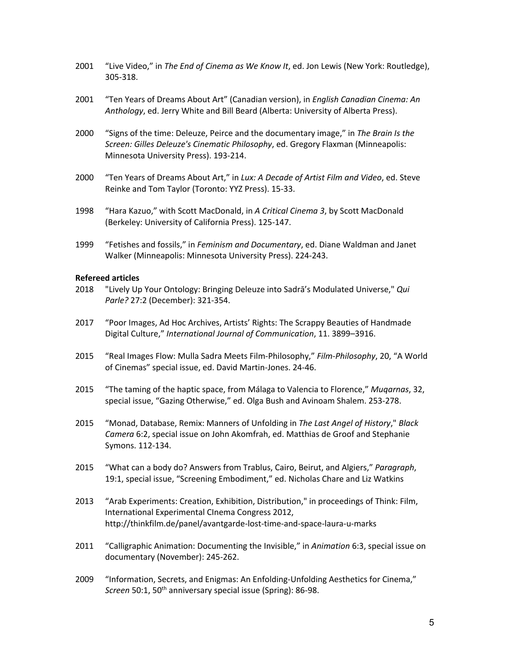- 2001 "Live Video," in *The End of Cinema as We Know It*, ed. Jon Lewis (New York: Routledge), 305-318.
- 2001 "Ten Years of Dreams About Art" (Canadian version), in *English Canadian Cinema: An Anthology*, ed. Jerry White and Bill Beard (Alberta: University of Alberta Press).
- 2000 "Signs of the time: Deleuze, Peirce and the documentary image," in *The Brain Is the Screen: Gilles Deleuze's Cinematic Philosophy*, ed. Gregory Flaxman (Minneapolis: Minnesota University Press). 193-214.
- 2000 "Ten Years of Dreams About Art," in *Lux: A Decade of Artist Film and Video*, ed. Steve Reinke and Tom Taylor (Toronto: YYZ Press). 15-33.
- 1998 "Hara Kazuo," with Scott MacDonald, in *A Critical Cinema 3*, by Scott MacDonald (Berkeley: University of California Press). 125-147.
- 1999 "Fetishes and fossils," in *Feminism and Documentary*, ed. Diane Waldman and Janet Walker (Minneapolis: Minnesota University Press). 224-243.

#### **Refereed articles**

- 2018 "Lively Up Your Ontology: Bringing Deleuze into Sadrā's Modulated Universe," *Qui Parle?* 27:2 (December): 321-354.
- 2017 "Poor Images, Ad Hoc Archives, Artists' Rights: The Scrappy Beauties of Handmade Digital Culture," *International Journal of Communication*, 11. 3899–3916.
- 2015 "Real Images Flow: Mulla Sadra Meets Film-Philosophy," *Film-Philosophy*, 20, "A World of Cinemas" special issue, ed. David Martin-Jones. 24-46.
- 2015 "The taming of the haptic space, from Málaga to Valencia to Florence," *Muqarnas*, 32, special issue, "Gazing Otherwise," ed. Olga Bush and Avinoam Shalem. 253-278.
- 2015 "Monad, Database, Remix: Manners of Unfolding in *The Last Angel of History*," *Black Camera* 6:2, special issue on John Akomfrah, ed. Matthias de Groof and Stephanie Symons. 112-134.
- 2015 "What can a body do? Answers from Trablus, Cairo, Beirut, and Algiers," *Paragraph*, 19:1, special issue, "Screening Embodiment," ed. Nicholas Chare and Liz Watkins
- 2013 "Arab Experiments: Creation, Exhibition, Distribution," in proceedings of Think: Film, International Experimental CInema Congress 2012, http://thinkfilm.de/panel/avantgarde-lost-time-and-space-laura-u-marks
- 2011 "Calligraphic Animation: Documenting the Invisible," in *Animation* 6:3, special issue on documentary (November): 245-262.
- 2009 "Information, Secrets, and Enigmas: An Enfolding-Unfolding Aesthetics for Cinema," *Screen* 50:1, 50th anniversary special issue (Spring): 86-98.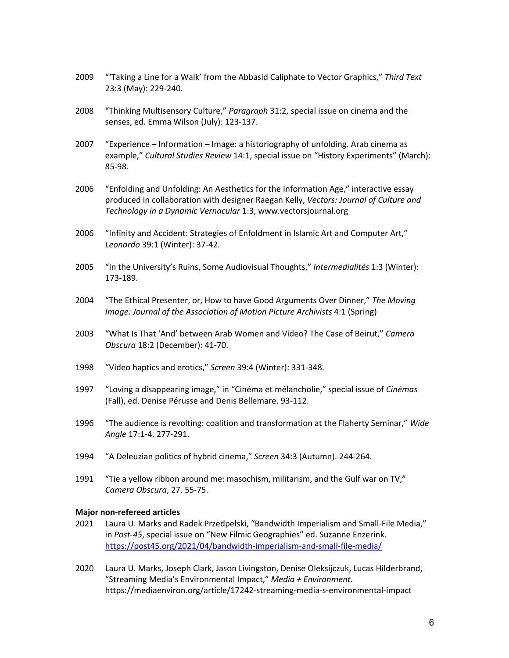- 2009 "'Taking a Line for a Walk' from the Abbasid Caliphate to Vector Graphics," *Third Text* 23:3 (May): 229-240.
- 2008 "Thinking Multisensory Culture," *Paragraph* 31:2, special issue on cinema and the senses, ed. Emma Wilson (July): 123-137.
- 2007 "Experience Information Image: a historiography of unfolding. Arab cinema as example," *Cultural Studies Review* 14:1, special issue on "History Experiments" (March): 85-98.
- 2006 "Enfolding and Unfolding: An Aesthetics for the Information Age," interactive essay produced in collaboration with designer Raegan Kelly, *Vectors: Journal of Culture and Technology in a Dynamic Vernacular* 1:3, www.vectorsjournal.org
- 2006 "Infinity and Accident: Strategies of Enfoldment in Islamic Art and Computer Art," *Leonardo* 39:1 (Winter): 37-42.
- 2005 "In the University's Ruins, Some Audiovisual Thoughts," *Intermedialités* 1:3 (Winter): 173-189.
- 2004 "The Ethical Presenter, or, How to have Good Arguments Over Dinner," *The Moving Image: Journal of the Association of Motion Picture Archivists* 4:1 (Spring)
- 2003 "What Is That 'And' between Arab Women and Video? The Case of Beirut," *Camera Obscura* 18:2 (December): 41-70.
- 1998 "Video haptics and erotics," *Screen* 39:4 (Winter): 331-348.
- 1997 "Loving a disappearing image," in "Cinéma et mélancholie," special issue of *Cinémas* (Fall), ed. Denise Pérusse and Denis Bellemare. 93-112.
- 1996 "The audience is revolting: coalition and transformation at the Flaherty Seminar," *Wide Angle* 17:1-4. 277-291.
- 1994 "A Deleuzian politics of hybrid cinema," *Screen* 34:3 (Autumn). 244-264.
- 1991 "Tie a yellow ribbon around me: masochism, militarism, and the Gulf war on TV," *Camera Obscura*, 27. 55-75.

#### **Major non-refereed articles**

- 2021 Laura U. Marks and Radek Przedpełski, "Bandwidth Imperialism and Small-File Media," in *Post-45*, special issue on "New Filmic Geographies" ed. Suzanne Enzerink. https://post45.org/2021/04/bandwidth-imperialism-and-small-file-media/
- 2020 Laura U. Marks, Joseph Clark, Jason Livingston, Denise Oleksijczuk, Lucas Hilderbrand, "Streaming Media's Environmental Impact," *Media + Environment*. https://mediaenviron.org/article/17242-streaming-media-s-environmental-impact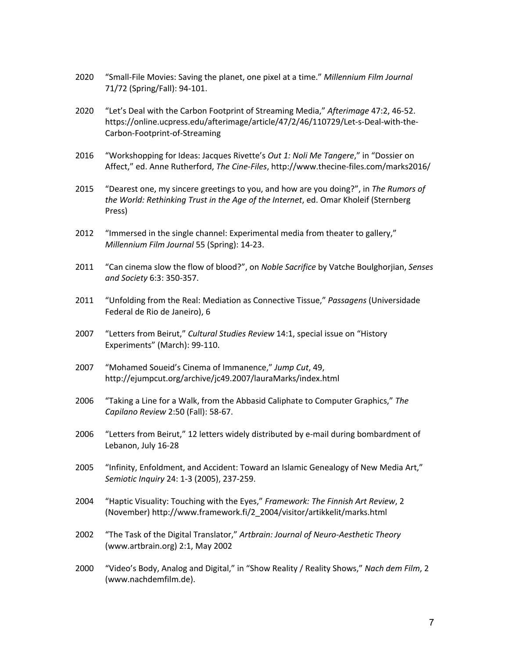- 2020 "Small-File Movies: Saving the planet, one pixel at a time." *Millennium Film Journal* 71/72 (Spring/Fall): 94-101.
- 2020 "Let's Deal with the Carbon Footprint of Streaming Media," *Afterimage* 47:2, 46-52. https://online.ucpress.edu/afterimage/article/47/2/46/110729/Let-s-Deal-with-the-Carbon-Footprint-of-Streaming
- 2016 "Workshopping for Ideas: Jacques Rivette's *Out 1: Noli Me Tangere*," in "Dossier on Affect," ed. Anne Rutherford, *The Cine-Files*, http://www.thecine-files.com/marks2016/
- 2015 "Dearest one, my sincere greetings to you, and how are you doing?", in *The Rumors of the World: Rethinking Trust in the Age of the Internet*, ed. Omar Kholeif (Sternberg Press)
- 2012 "Immersed in the single channel: Experimental media from theater to gallery," *Millennium Film Journal* 55 (Spring): 14-23.
- 2011 "Can cinema slow the flow of blood?", on *Noble Sacrifice* by Vatche Boulghorjian, *Senses and Society* 6:3: 350-357.
- 2011 "Unfolding from the Real: Mediation as Connective Tissue," *Passagens* (Universidade Federal de Rio de Janeiro), 6
- 2007 "Letters from Beirut," *Cultural Studies Review* 14:1, special issue on "History Experiments" (March): 99-110.
- 2007 "Mohamed Soueid's Cinema of Immanence," *Jump Cut*, 49, http://ejumpcut.org/archive/jc49.2007/lauraMarks/index.html
- 2006 "Taking a Line for a Walk, from the Abbasid Caliphate to Computer Graphics," *The Capilano Review* 2:50 (Fall): 58-67.
- 2006 "Letters from Beirut," 12 letters widely distributed by e-mail during bombardment of Lebanon, July 16-28
- 2005 "Infinity, Enfoldment, and Accident: Toward an Islamic Genealogy of New Media Art," *Semiotic Inquiry* 24: 1-3 (2005), 237-259.
- 2004 "Haptic Visuality: Touching with the Eyes," *Framework: The Finnish Art Review*, 2 (November) http://www.framework.fi/2\_2004/visitor/artikkelit/marks.html
- 2002 "The Task of the Digital Translator," *Artbrain: Journal of Neuro-Aesthetic Theory* (www.artbrain.org) 2:1, May 2002
- 2000 "Video's Body, Analog and Digital," in "Show Reality / Reality Shows," *Nach dem Film*, 2 (www.nachdemfilm.de).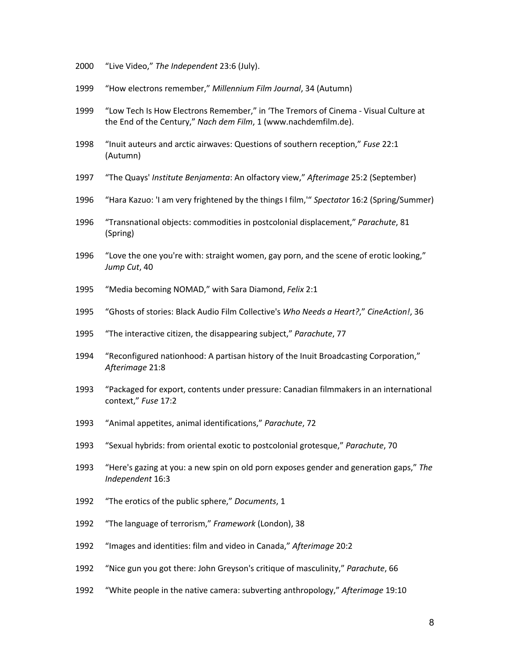- "Live Video," *The Independent* 23:6 (July).
- "How electrons remember," *Millennium Film Journal*, 34 (Autumn)
- "Low Tech Is How Electrons Remember," in 'The Tremors of Cinema Visual Culture at the End of the Century," *Nach dem Film*, 1 (www.nachdemfilm.de).
- "Inuit auteurs and arctic airwaves: Questions of southern reception," *Fuse* 22:1 (Autumn)
- "The Quays' *Institute Benjamenta*: An olfactory view," *Afterimage* 25:2 (September)
- "Hara Kazuo: 'I am very frightened by the things I film,'" *Spectator* 16:2 (Spring/Summer)
- 1996 "Transnational objects: commodities in postcolonial displacement," *Parachute*, 81 (Spring)
- "Love the one you're with: straight women, gay porn, and the scene of erotic looking," *Jump Cut*, 40
- "Media becoming NOMAD," with Sara Diamond, *Felix* 2:1
- "Ghosts of stories: Black Audio Film Collective's *Who Needs a Heart?*," *CineAction!*, 36
- "The interactive citizen, the disappearing subject," *Parachute*, 77
- "Reconfigured nationhood: A partisan history of the Inuit Broadcasting Corporation," *Afterimage* 21:8
- "Packaged for export, contents under pressure: Canadian filmmakers in an international context," *Fuse* 17:2
- "Animal appetites, animal identifications," *Parachute*, 72
- "Sexual hybrids: from oriental exotic to postcolonial grotesque," *Parachute*, 70
- "Here's gazing at you: a new spin on old porn exposes gender and generation gaps," *The Independent* 16:3
- "The erotics of the public sphere," *Documents*, 1
- "The language of terrorism," *Framework* (London), 38
- "Images and identities: film and video in Canada," *Afterimage* 20:2
- "Nice gun you got there: John Greyson's critique of masculinity," *Parachute*, 66
- "White people in the native camera: subverting anthropology," *Afterimage* 19:10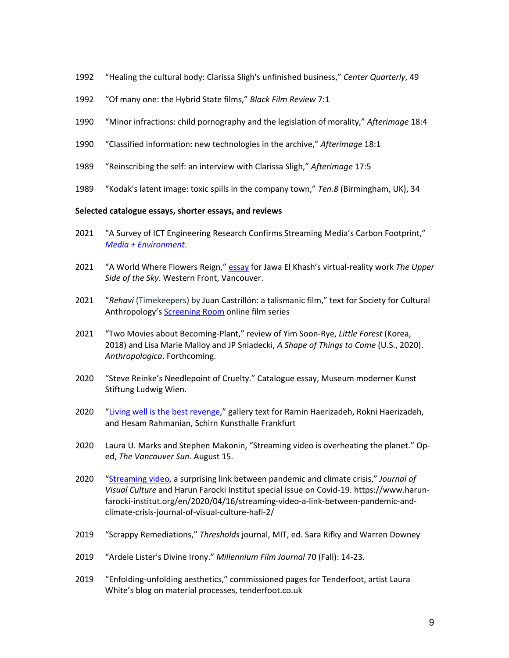- 1992 "Healing the cultural body: Clarissa Sligh's unfinished business," *Center Quarterly*, 49
- 1992 "Of many one: the Hybrid State films," *Black Film Review* 7:1
- 1990 "Minor infractions: child pornography and the legislation of morality," *Afterimage* 18:4
- 1990 "Classified information: new technologies in the archive," *Afterimage* 18:1
- 1989 "Reinscribing the self: an interview with Clarissa Sligh," *Afterimage* 17:5
- 1989 "Kodak's latent image: toxic spills in the company town," *Ten.8* (Birmingham, UK), 34

### **Selected catalogue essays, shorter essays, and reviews**

- 2021 "A Survey of ICT Engineering Research Confirms Streaming Media's Carbon Footprint," *Media + Environment*.
- 2021 "A World Where Flowers Reign," essay for Jawa El Khash's virtual-reality work *The Upper Side of the Sky*. Western Front, Vancouver.
- 2021 "*Rehavi* (Timekeepers) by Juan Castrillón: a talismanic film," text for Society for Cultural Anthropology's Screening Room online film series
- 2021 "Two Movies about Becoming-Plant," review of Yim Soon-Rye, *Little Forest* (Korea, 2018) and Lisa Marie Malloy and JP Sniadecki, *A Shape of Things to Come* (U.S., 2020). *Anthropologica*. Forthcoming.
- 2020 "Steve Reinke's Needlepoint of Cruelty." Catalogue essay, Museum moderner Kunst Stiftung Ludwig Wien.
- 2020 "Living well is the best revenge," gallery text for Ramin Haerizadeh, Rokni Haerizadeh, and Hesam Rahmanian, Schirn Kunsthalle Frankfurt
- 2020 Laura U. Marks and Stephen Makonin, "Streaming video is overheating the planet." Oped, *The Vancouver Sun*. August 15.
- 2020 "Streaming video, a surprising link between pandemic and climate crisis," *Journal of Visual Culture* and Harun Farocki Institut special issue on Covid-19. https://www.harunfarocki-institut.org/en/2020/04/16/streaming-video-a-link-between-pandemic-andclimate-crisis-journal-of-visual-culture-hafi-2/
- 2019 "Scrappy Remediations," *Thresholds* journal, MIT, ed. Sara Rifky and Warren Downey
- 2019 "Ardele Lister's Divine Irony." *Millennium Film Journal* 70 (Fall): 14-23.
- 2019 "Enfolding-unfolding aesthetics," commissioned pages for Tenderfoot, artist Laura White's blog on material processes, tenderfoot.co.uk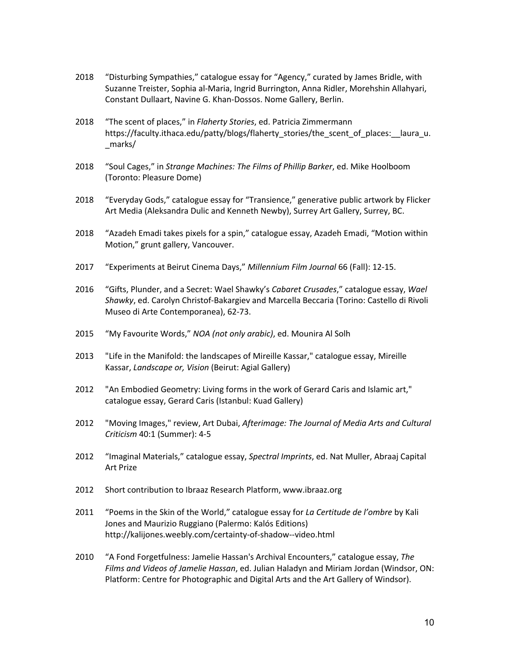- 2018 "Disturbing Sympathies," catalogue essay for "Agency," curated by James Bridle, with Suzanne Treister, Sophia al-Maria, Ingrid Burrington, Anna Ridler, Morehshin Allahyari, Constant Dullaart, Navine G. Khan-Dossos. Nome Gallery, Berlin.
- 2018 "The scent of places," in *Flaherty Stories*, ed. Patricia Zimmermann https://faculty.ithaca.edu/patty/blogs/flaherty\_stories/the\_scent\_of\_places:\_\_laura\_u. \_marks/
- 2018 "Soul Cages," in *Strange Machines: The Films of Phillip Barker*, ed. Mike Hoolboom (Toronto: Pleasure Dome)
- 2018 "Everyday Gods," catalogue essay for "Transience," generative public artwork by Flicker Art Media (Aleksandra Dulic and Kenneth Newby), Surrey Art Gallery, Surrey, BC.
- 2018 "Azadeh Emadi takes pixels for a spin," catalogue essay, Azadeh Emadi, "Motion within Motion," grunt gallery, Vancouver.
- 2017 "Experiments at Beirut Cinema Days," *Millennium Film Journal* 66 (Fall): 12-15.
- 2016 "Gifts, Plunder, and a Secret: Wael Shawky's *Cabaret Crusades*," catalogue essay, *Wael Shawky*, ed. Carolyn Christof-Bakargiev and Marcella Beccaria (Torino: Castello di Rivoli Museo di Arte Contemporanea), 62-73.
- 2015 "My Favourite Words," *NOA (not only arabic)*, ed. Mounira Al Solh
- 2013 "Life in the Manifold: the landscapes of Mireille Kassar," catalogue essay, Mireille Kassar, *Landscape or, Vision* (Beirut: Agial Gallery)
- 2012 "An Embodied Geometry: Living forms in the work of Gerard Caris and Islamic art," catalogue essay, Gerard Caris (Istanbul: Kuad Gallery)
- 2012 "Moving Images," review, Art Dubai, *Afterimage: The Journal of Media Arts and Cultural Criticism* 40:1 (Summer): 4-5
- 2012 "Imaginal Materials," catalogue essay, *Spectral Imprints*, ed. Nat Muller, Abraaj Capital Art Prize
- 2012 Short contribution to Ibraaz Research Platform, www.ibraaz.org
- 2011 "Poems in the Skin of the World," catalogue essay for *La Certitude de l'ombre* by Kali Jones and Maurizio Ruggiano (Palermo: Kalós Editions) http://kalijones.weebly.com/certainty-of-shadow--video.html
- 2010 "A Fond Forgetfulness: Jamelie Hassan's Archival Encounters," catalogue essay, *The Films and Videos of Jamelie Hassan*, ed. Julian Haladyn and Miriam Jordan (Windsor, ON: Platform: Centre for Photographic and Digital Arts and the Art Gallery of Windsor).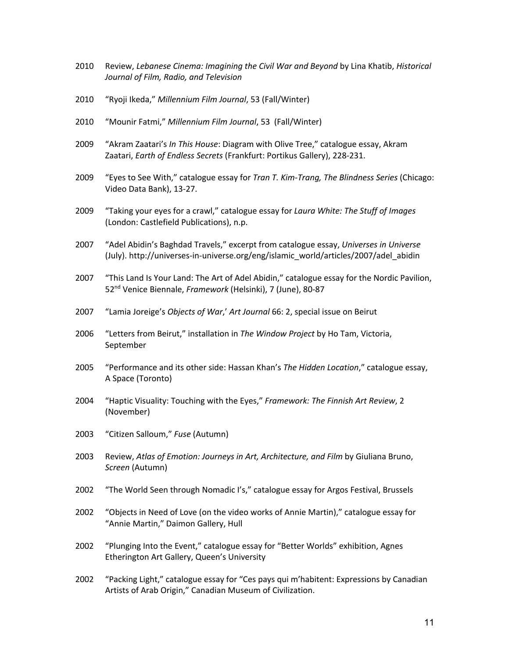- 2010 Review, *Lebanese Cinema: Imagining the Civil War and Beyond* by Lina Khatib, *Historical Journal of Film, Radio, and Television*
- 2010 "Ryoji Ikeda," *Millennium Film Journal*, 53 (Fall/Winter)
- 2010 "Mounir Fatmi," *Millennium Film Journal*, 53 (Fall/Winter)
- 2009 "Akram Zaatari's *In This House*: Diagram with Olive Tree," catalogue essay, Akram Zaatari, *Earth of Endless Secrets* (Frankfurt: Portikus Gallery), 228-231.
- 2009 "Eyes to See With," catalogue essay for *Tran T. Kim-Trang, The Blindness Series* (Chicago: Video Data Bank), 13-27.
- 2009 "Taking your eyes for a crawl," catalogue essay for *Laura White: The Stuff of Images* (London: Castlefield Publications), n.p.
- 2007 "Adel Abidin's Baghdad Travels," excerpt from catalogue essay, *Universes in Universe* (July). http://universes-in-universe.org/eng/islamic\_world/articles/2007/adel\_abidin
- 2007 "This Land Is Your Land: The Art of Adel Abidin," catalogue essay for the Nordic Pavilion, 52nd Venice Biennale, *Framework* (Helsinki), 7 (June), 80-87
- 2007 "Lamia Joreige's *Objects of War*,' *Art Journal* 66: 2, special issue on Beirut
- 2006 "Letters from Beirut," installation in *The Window Project* by Ho Tam, Victoria, September
- 2005 "Performance and its other side: Hassan Khan's *The Hidden Location*," catalogue essay, A Space (Toronto)
- 2004 "Haptic Visuality: Touching with the Eyes," *Framework: The Finnish Art Review*, 2 (November)
- 2003 "Citizen Salloum," *Fuse* (Autumn)
- 2003 Review, *Atlas of Emotion: Journeys in Art, Architecture, and Film* by Giuliana Bruno, *Screen* (Autumn)
- 2002 "The World Seen through Nomadic I's," catalogue essay for Argos Festival, Brussels
- 2002 "Objects in Need of Love (on the video works of Annie Martin)," catalogue essay for "Annie Martin," Daimon Gallery, Hull
- 2002 "Plunging Into the Event," catalogue essay for "Better Worlds" exhibition, Agnes Etherington Art Gallery, Queen's University
- 2002 "Packing Light," catalogue essay for "Ces pays qui m'habitent: Expressions by Canadian Artists of Arab Origin," Canadian Museum of Civilization.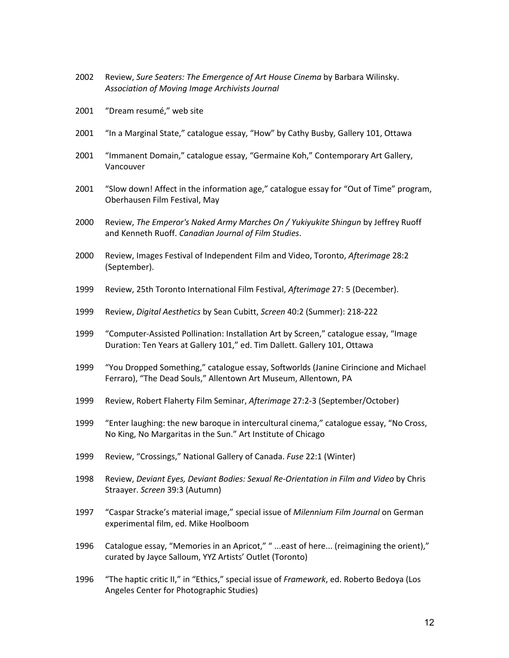- Review, *Sure Seaters: The Emergence of Art House Cinema* by Barbara Wilinsky. *Association of Moving Image Archivists Journal*
- "Dream resumé," web site
- "In a Marginal State," catalogue essay, "How" by Cathy Busby, Gallery 101, Ottawa
- "Immanent Domain," catalogue essay, "Germaine Koh," Contemporary Art Gallery, Vancouver
- "Slow down! Affect in the information age," catalogue essay for "Out of Time" program, Oberhausen Film Festival, May
- Review, *The Emperor's Naked Army Marches On / Yukiyukite Shingun* by Jeffrey Ruoff and Kenneth Ruoff. *Canadian Journal of Film Studies*.
- Review, Images Festival of Independent Film and Video, Toronto, *Afterimage* 28:2 (September).
- Review, 25th Toronto International Film Festival, *Afterimage* 27: 5 (December).
- Review, *Digital Aesthetics* by Sean Cubitt, *Screen* 40:2 (Summer): 218-222
- "Computer-Assisted Pollination: Installation Art by Screen," catalogue essay, "Image Duration: Ten Years at Gallery 101," ed. Tim Dallett. Gallery 101, Ottawa
- "You Dropped Something," catalogue essay, Softworlds (Janine Cirincione and Michael Ferraro), "The Dead Souls," Allentown Art Museum, Allentown, PA
- Review, Robert Flaherty Film Seminar, *Afterimage* 27:2-3 (September/October)
- "Enter laughing: the new baroque in intercultural cinema," catalogue essay, "No Cross, No King, No Margaritas in the Sun." Art Institute of Chicago
- Review, "Crossings," National Gallery of Canada. *Fuse* 22:1 (Winter)
- Review, *Deviant Eyes, Deviant Bodies: Sexual Re-Orientation in Film and Video* by Chris Straayer. *Screen* 39:3 (Autumn)
- "Caspar Stracke's material image," special issue of *Milennium Film Journal* on German experimental film, ed. Mike Hoolboom
- Catalogue essay, "Memories in an Apricot," " ...east of here... (reimagining the orient)," curated by Jayce Salloum, YYZ Artists' Outlet (Toronto)
- "The haptic critic II," in "Ethics," special issue of *Framework*, ed. Roberto Bedoya (Los Angeles Center for Photographic Studies)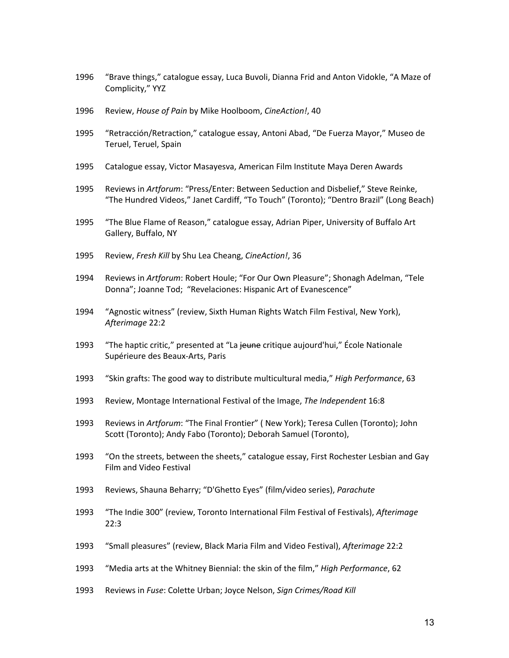- 1996 "Brave things," catalogue essay, Luca Buvoli, Dianna Frid and Anton Vidokle, "A Maze of Complicity," YYZ
- 1996 Review, *House of Pain* by Mike Hoolboom, *CineAction!*, 40
- 1995 "Retracción/Retraction," catalogue essay, Antoni Abad, "De Fuerza Mayor," Museo de Teruel, Teruel, Spain
- 1995 Catalogue essay, Victor Masayesva, American Film Institute Maya Deren Awards
- 1995 Reviews in *Artforum*: "Press/Enter: Between Seduction and Disbelief," Steve Reinke, "The Hundred Videos," Janet Cardiff, "To Touch" (Toronto); "Dentro Brazil" (Long Beach)
- 1995 "The Blue Flame of Reason," catalogue essay, Adrian Piper, University of Buffalo Art Gallery, Buffalo, NY
- 1995 Review, *Fresh Kill* by Shu Lea Cheang, *CineAction!*, 36
- 1994 Reviews in *Artforum*: Robert Houle; "For Our Own Pleasure"; Shonagh Adelman, "Tele Donna"; Joanne Tod; "Revelaciones: Hispanic Art of Evanescence"
- 1994 "Agnostic witness" (review, Sixth Human Rights Watch Film Festival, New York), *Afterimage* 22:2
- 1993 "The haptic critic," presented at "La jeune critique aujourd'hui," École Nationale Supérieure des Beaux-Arts, Paris
- 1993 "Skin grafts: The good way to distribute multicultural media," *High Performance*, 63
- 1993 Review, Montage International Festival of the Image, *The Independent* 16:8
- 1993 Reviews in *Artforum*: "The Final Frontier" ( New York); Teresa Cullen (Toronto); John Scott (Toronto); Andy Fabo (Toronto); Deborah Samuel (Toronto),
- 1993 "On the streets, between the sheets," catalogue essay, First Rochester Lesbian and Gay Film and Video Festival
- 1993 Reviews, Shauna Beharry; "D'Ghetto Eyes" (film/video series), *Parachute*
- 1993 "The Indie 300" (review, Toronto International Film Festival of Festivals), *Afterimage* 22:3
- 1993 "Small pleasures" (review, Black Maria Film and Video Festival), *Afterimage* 22:2
- 1993 "Media arts at the Whitney Biennial: the skin of the film," *High Performance*, 62
- 1993 Reviews in *Fuse*: Colette Urban; Joyce Nelson, *Sign Crimes/Road Kill*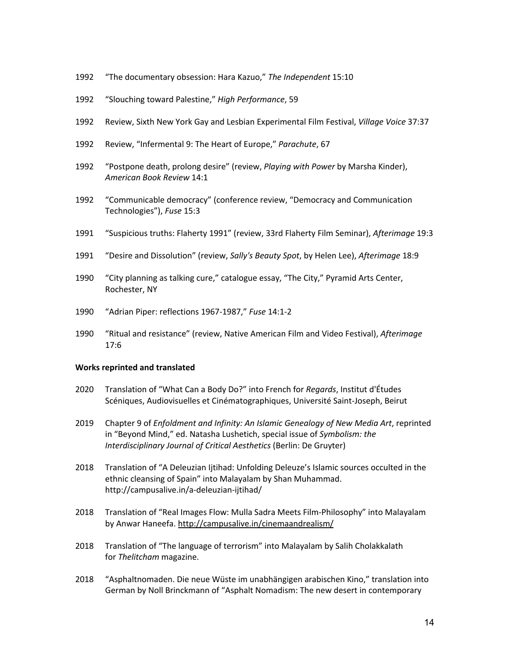- 1992 "The documentary obsession: Hara Kazuo," *The Independent* 15:10
- 1992 "Slouching toward Palestine," *High Performance*, 59
- 1992 Review, Sixth New York Gay and Lesbian Experimental Film Festival, *Village Voice* 37:37
- 1992 Review, "Infermental 9: The Heart of Europe," *Parachute*, 67
- 1992 "Postpone death, prolong desire" (review, *Playing with Power* by Marsha Kinder), *American Book Review* 14:1
- 1992 "Communicable democracy" (conference review, "Democracy and Communication Technologies"), *Fuse* 15:3
- 1991 "Suspicious truths: Flaherty 1991" (review, 33rd Flaherty Film Seminar), *Afterimage* 19:3
- 1991 "Desire and Dissolution" (review, *Sally's Beauty Spot*, by Helen Lee), *Afterimage* 18:9
- 1990 "City planning as talking cure," catalogue essay, "The City," Pyramid Arts Center, Rochester, NY
- 1990 "Adrian Piper: reflections 1967-1987," *Fuse* 14:1-2
- 1990 "Ritual and resistance" (review, Native American Film and Video Festival), *Afterimage* 17:6

### **Works reprinted and translated**

- 2020 Translation of "What Can a Body Do?" into French for *Regards*, Institut d'Études Scéniques, Audiovisuelles et Cinématographiques, Université Saint-Joseph, Beirut
- 2019 Chapter 9 of *Enfoldment and Infinity: An Islamic Genealogy of New Media Art*, reprinted in "Beyond Mind," ed. Natasha Lushetich, special issue of *Symbolism: the Interdisciplinary Journal of Critical Aesthetics* (Berlin: De Gruyter)
- 2018 Translation of "A Deleuzian Ijtihad: Unfolding Deleuze's Islamic sources occulted in the ethnic cleansing of Spain" into Malayalam by Shan Muhammad. http://campusalive.in/a-deleuzian-ijtihad/
- 2018 Translation of "Real Images Flow: Mulla Sadra Meets Film-Philosophy" into Malayalam by Anwar Haneefa. http://campusalive.in/cinemaandrealism/
- 2018 Translation of "The language of terrorism" into Malayalam by Salih Cholakkalath for *Thelitcham* magazine.
- 2018 "Asphaltnomaden. Die neue Wüste im unabhängigen arabischen Kino," translation into German by Noll Brinckmann of "Asphalt Nomadism: The new desert in contemporary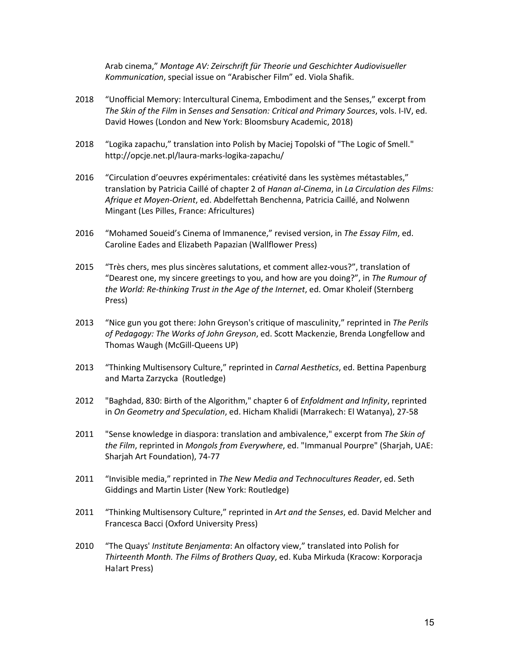Arab cinema," *Montage AV: Zeirschrift für Theorie und Geschichter Audiovisueller Kommunication*, special issue on "Arabischer Film" ed. Viola Shafik.

- 2018 "Unofficial Memory: Intercultural Cinema, Embodiment and the Senses," excerpt from *The Skin of the Film* in *Senses and Sensation: Critical and Primary Sources*, vols. I-IV, ed. David Howes (London and New York: Bloomsbury Academic, 2018)
- 2018 "Logika zapachu," translation into Polish by Maciej Topolski of "The Logic of Smell." http://opcje.net.pl/laura-marks-logika-zapachu/
- 2016 "Circulation d'oeuvres expérimentales: créativité dans les systèmes métastables," translation by Patricia Caillé of chapter 2 of *Hanan al-Cinema*, in *La Circulation des Films: Afrique et Moyen-Orient*, ed. Abdelfettah Benchenna, Patricia Caillé, and Nolwenn Mingant (Les Pilles, France: Africultures)
- 2016 "Mohamed Soueid's Cinema of Immanence," revised version, in *The Essay Film*, ed. Caroline Eades and Elizabeth Papazian (Wallflower Press)
- 2015 "Très chers, mes plus sincères salutations, et comment allez-vous?", translation of "Dearest one, my sincere greetings to you, and how are you doing?", in *The Rumour of the World: Re-thinking Trust in the Age of the Internet*, ed. Omar Kholeif (Sternberg Press)
- 2013 "Nice gun you got there: John Greyson's critique of masculinity," reprinted in *The Perils of Pedagogy: The Works of John Greyson*, ed. Scott Mackenzie, Brenda Longfellow and Thomas Waugh (McGill-Queens UP)
- 2013 "Thinking Multisensory Culture," reprinted in *Carnal Aesthetics*, ed. Bettina Papenburg and Marta Zarzycka (Routledge)
- 2012 "Baghdad, 830: Birth of the Algorithm," chapter 6 of *Enfoldment and Infinity*, reprinted in *On Geometry and Speculation*, ed. Hicham Khalidi (Marrakech: El Watanya), 27-58
- 2011 "Sense knowledge in diaspora: translation and ambivalence," excerpt from *The Skin of the Film*, reprinted in *Mongols from Everywhere*, ed. "Immanual Pourpre" (Sharjah, UAE: Sharjah Art Foundation), 74-77
- 2011 "Invisible media," reprinted in *The New Media and Technocultures Reader*, ed. Seth Giddings and Martin Lister (New York: Routledge)
- 2011 "Thinking Multisensory Culture," reprinted in *Art and the Senses*, ed. David Melcher and Francesca Bacci (Oxford University Press)
- 2010 "The Quays' *Institute Benjamenta*: An olfactory view," translated into Polish for *Thirteenth Month. The Films of Brothers Quay*, ed. Kuba Mirkuda (Kracow: Korporacja Ha!art Press)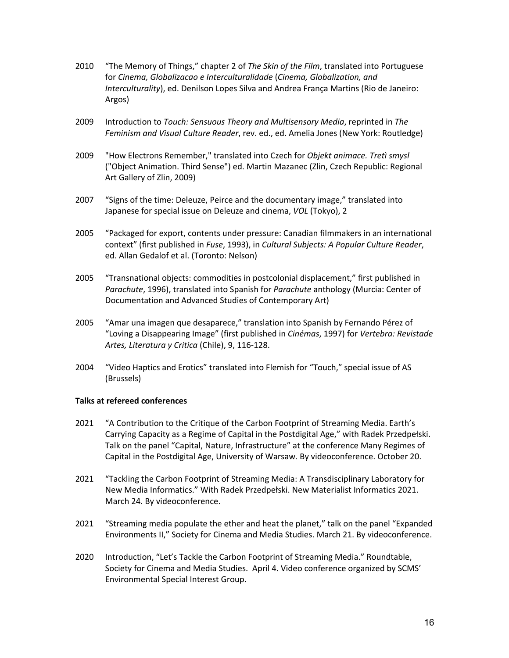- 2010 "The Memory of Things," chapter 2 of *The Skin of the Film*, translated into Portuguese for *Cinema, Globalizacao e Interculturalidade* (*Cinema, Globalization, and Interculturality*), ed. Denilson Lopes Silva and Andrea França Martins (Rio de Janeiro: Argos)
- 2009 Introduction to *Touch: Sensuous Theory and Multisensory Media*, reprinted in *The Feminism and Visual Culture Reader*, rev. ed., ed. Amelia Jones (New York: Routledge)
- 2009 "How Electrons Remember," translated into Czech for *Objekt animace. Tretì smysl* ("Object Animation. Third Sense") ed. Martin Mazanec (Zlin, Czech Republic: Regional Art Gallery of Zlin, 2009)
- 2007 "Signs of the time: Deleuze, Peirce and the documentary image," translated into Japanese for special issue on Deleuze and cinema, *VOL* (Tokyo), 2
- 2005 "Packaged for export, contents under pressure: Canadian filmmakers in an international context" (first published in *Fuse*, 1993), in *Cultural Subjects: A Popular Culture Reader*, ed. Allan Gedalof et al. (Toronto: Nelson)
- 2005 "Transnational objects: commodities in postcolonial displacement," first published in *Parachute*, 1996), translated into Spanish for *Parachute* anthology (Murcia: Center of Documentation and Advanced Studies of Contemporary Art)
- 2005 "Amar una imagen que desaparece," translation into Spanish by Fernando Pérez of "Loving a Disappearing Image" (first published in *Cinémas*, 1997) for *Vertebra: Revistade Artes, Literatura y Critica* (Chile), 9, 116-128.
- 2004 "Video Haptics and Erotics" translated into Flemish for "Touch," special issue of AS (Brussels)

### **Talks at refereed conferences**

- 2021 "A Contribution to the Critique of the Carbon Footprint of Streaming Media. Earth's Carrying Capacity as a Regime of Capital in the Postdigital Age," with Radek Przedpełski. Talk on the panel "Capital, Nature, Infrastructure" at the conference Many Regimes of Capital in the Postdigital Age, University of Warsaw. By videoconference. October 20.
- 2021 "Tackling the Carbon Footprint of Streaming Media: A Transdisciplinary Laboratory for New Media Informatics." With Radek Przedpełski. New Materialist Informatics 2021. March 24. By videoconference.
- 2021 "Streaming media populate the ether and heat the planet," talk on the panel "Expanded Environments II," Society for Cinema and Media Studies. March 21. By videoconference.
- 2020 Introduction, "Let's Tackle the Carbon Footprint of Streaming Media." Roundtable, Society for Cinema and Media Studies. April 4. Video conference organized by SCMS' Environmental Special Interest Group.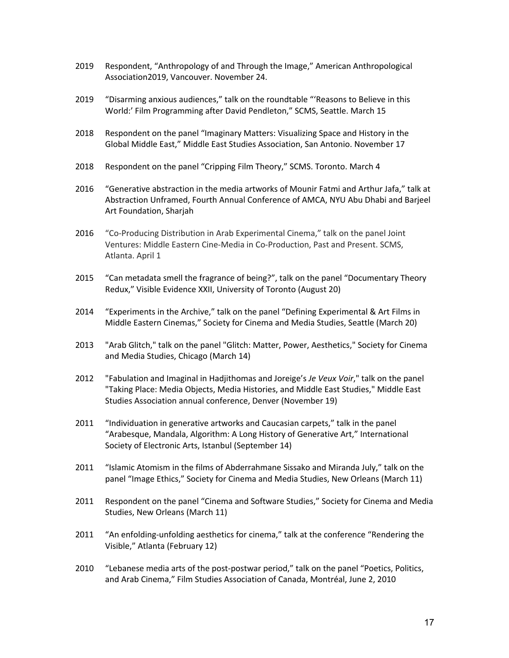- 2019 Respondent, "Anthropology of and Through the Image," American Anthropological Association2019, Vancouver. November 24.
- 2019 "Disarming anxious audiences," talk on the roundtable "'Reasons to Believe in this World:' Film Programming after David Pendleton," SCMS, Seattle. March 15
- 2018 Respondent on the panel "Imaginary Matters: Visualizing Space and History in the Global Middle East," Middle East Studies Association, San Antonio. November 17
- 2018 Respondent on the panel "Cripping Film Theory," SCMS. Toronto. March 4
- 2016 "Generative abstraction in the media artworks of Mounir Fatmi and Arthur Jafa," talk at Abstraction Unframed, Fourth Annual Conference of AMCA, NYU Abu Dhabi and Barjeel Art Foundation, Sharjah
- 2016 "Co-Producing Distribution in Arab Experimental Cinema," talk on the panel Joint Ventures: Middle Eastern Cine-Media in Co-Production, Past and Present. SCMS, Atlanta. April 1
- 2015 "Can metadata smell the fragrance of being?", talk on the panel "Documentary Theory Redux," Visible Evidence XXII, University of Toronto (August 20)
- 2014 "Experiments in the Archive," talk on the panel "Defining Experimental & Art Films in Middle Eastern Cinemas," Society for Cinema and Media Studies, Seattle (March 20)
- 2013 "Arab Glitch," talk on the panel "Glitch: Matter, Power, Aesthetics," Society for Cinema and Media Studies, Chicago (March 14)
- 2012 "Fabulation and Imaginal in Hadjithomas and Joreige's *Je Veux Voir*," talk on the panel "Taking Place: Media Objects, Media Histories, and Middle East Studies," Middle East Studies Association annual conference, Denver (November 19)
- 2011 "Individuation in generative artworks and Caucasian carpets," talk in the panel "Arabesque, Mandala, Algorithm: A Long History of Generative Art," International Society of Electronic Arts, Istanbul (September 14)
- 2011 "Islamic Atomism in the films of Abderrahmane Sissako and Miranda July," talk on the panel "Image Ethics," Society for Cinema and Media Studies, New Orleans (March 11)
- 2011 Respondent on the panel "Cinema and Software Studies," Society for Cinema and Media Studies, New Orleans (March 11)
- 2011 "An enfolding-unfolding aesthetics for cinema," talk at the conference "Rendering the Visible," Atlanta (February 12)
- 2010 "Lebanese media arts of the post-postwar period," talk on the panel "Poetics, Politics, and Arab Cinema," Film Studies Association of Canada, Montréal, June 2, 2010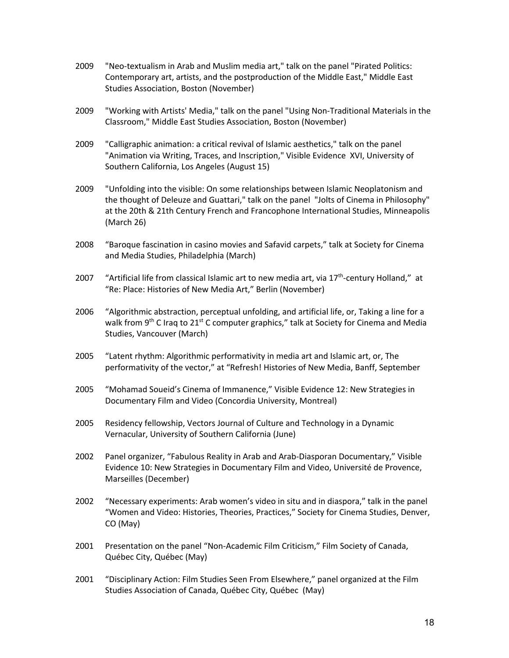- 2009 "Neo-textualism in Arab and Muslim media art," talk on the panel "Pirated Politics: Contemporary art, artists, and the postproduction of the Middle East," Middle East Studies Association, Boston (November)
- 2009 "Working with Artists' Media," talk on the panel "Using Non-Traditional Materials in the Classroom," Middle East Studies Association, Boston (November)
- 2009 "Calligraphic animation: a critical revival of Islamic aesthetics," talk on the panel "Animation via Writing, Traces, and Inscription," Visible Evidence XVI, University of Southern California, Los Angeles (August 15)
- 2009 "Unfolding into the visible: On some relationships between Islamic Neoplatonism and the thought of Deleuze and Guattari," talk on the panel "Jolts of Cinema in Philosophy" at the 20th & 21th Century French and Francophone International Studies, Minneapolis (March 26)
- 2008 "Baroque fascination in casino movies and Safavid carpets," talk at Society for Cinema and Media Studies, Philadelphia (March)
- 2007 "Artificial life from classical Islamic art to new media art, via  $17^{th}$ -century Holland," at "Re: Place: Histories of New Media Art," Berlin (November)
- 2006 "Algorithmic abstraction, perceptual unfolding, and artificial life, or, Taking a line for a walk from 9<sup>th</sup> C Iraq to 21<sup>st</sup> C computer graphics," talk at Society for Cinema and Media Studies, Vancouver (March)
- 2005 "Latent rhythm: Algorithmic performativity in media art and Islamic art, or, The performativity of the vector," at "Refresh! Histories of New Media, Banff, September
- 2005 "Mohamad Soueid's Cinema of Immanence," Visible Evidence 12: New Strategies in Documentary Film and Video (Concordia University, Montreal)
- 2005 Residency fellowship, Vectors Journal of Culture and Technology in a Dynamic Vernacular, University of Southern California (June)
- 2002 Panel organizer, "Fabulous Reality in Arab and Arab-Diasporan Documentary," Visible Evidence 10: New Strategies in Documentary Film and Video, Université de Provence, Marseilles (December)
- 2002 "Necessary experiments: Arab women's video in situ and in diaspora," talk in the panel "Women and Video: Histories, Theories, Practices," Society for Cinema Studies, Denver, CO (May)
- 2001 Presentation on the panel "Non-Academic Film Criticism," Film Society of Canada, Québec City, Québec (May)
- 2001 "Disciplinary Action: Film Studies Seen From Elsewhere," panel organized at the Film Studies Association of Canada, Québec City, Québec (May)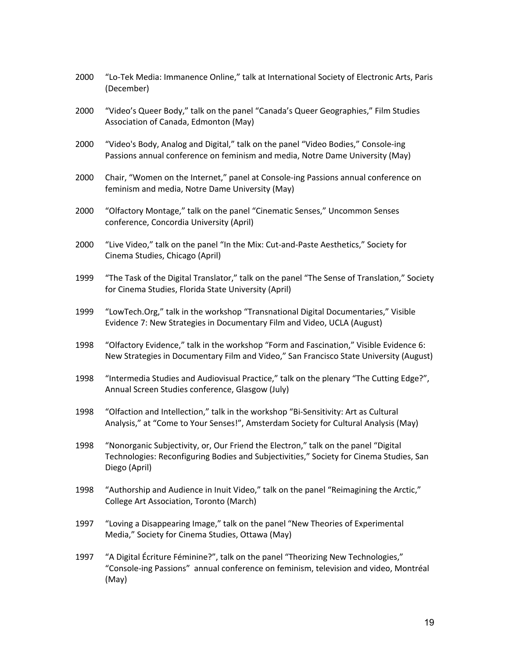- 2000 "Lo-Tek Media: Immanence Online," talk at International Society of Electronic Arts, Paris (December)
- 2000 "Video's Queer Body," talk on the panel "Canada's Queer Geographies," Film Studies Association of Canada, Edmonton (May)
- 2000 "Video's Body, Analog and Digital," talk on the panel "Video Bodies," Console-ing Passions annual conference on feminism and media, Notre Dame University (May)
- 2000 Chair, "Women on the Internet," panel at Console-ing Passions annual conference on feminism and media, Notre Dame University (May)
- 2000 "Olfactory Montage," talk on the panel "Cinematic Senses," Uncommon Senses conference, Concordia University (April)
- 2000 "Live Video," talk on the panel "In the Mix: Cut-and-Paste Aesthetics," Society for Cinema Studies, Chicago (April)
- 1999 "The Task of the Digital Translator," talk on the panel "The Sense of Translation," Society for Cinema Studies, Florida State University (April)
- 1999 "LowTech.Org," talk in the workshop "Transnational Digital Documentaries," Visible Evidence 7: New Strategies in Documentary Film and Video, UCLA (August)
- 1998 "Olfactory Evidence," talk in the workshop "Form and Fascination," Visible Evidence 6: New Strategies in Documentary Film and Video," San Francisco State University (August)
- 1998 "Intermedia Studies and Audiovisual Practice," talk on the plenary "The Cutting Edge?", Annual Screen Studies conference, Glasgow (July)
- 1998 "Olfaction and Intellection," talk in the workshop "Bi-Sensitivity: Art as Cultural Analysis," at "Come to Your Senses!", Amsterdam Society for Cultural Analysis (May)
- 1998 "Nonorganic Subjectivity, or, Our Friend the Electron," talk on the panel "Digital Technologies: Reconfiguring Bodies and Subjectivities," Society for Cinema Studies, San Diego (April)
- 1998 "Authorship and Audience in Inuit Video," talk on the panel "Reimagining the Arctic," College Art Association, Toronto (March)
- 1997 "Loving a Disappearing Image," talk on the panel "New Theories of Experimental Media," Society for Cinema Studies, Ottawa (May)
- 1997 "A Digital Écriture Féminine?", talk on the panel "Theorizing New Technologies," "Console-ing Passions" annual conference on feminism, television and video, Montréal (May)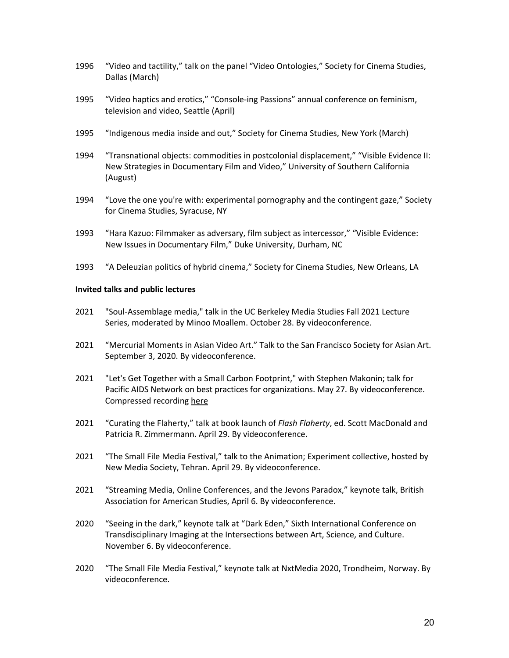- 1996 "Video and tactility," talk on the panel "Video Ontologies," Society for Cinema Studies, Dallas (March)
- 1995 "Video haptics and erotics," "Console-ing Passions" annual conference on feminism, television and video, Seattle (April)
- 1995 "Indigenous media inside and out," Society for Cinema Studies, New York (March)
- 1994 "Transnational objects: commodities in postcolonial displacement," "Visible Evidence II: New Strategies in Documentary Film and Video," University of Southern California (August)
- 1994 "Love the one you're with: experimental pornography and the contingent gaze," Society for Cinema Studies, Syracuse, NY
- 1993 "Hara Kazuo: Filmmaker as adversary, film subject as intercessor," "Visible Evidence: New Issues in Documentary Film," Duke University, Durham, NC
- 1993 "A Deleuzian politics of hybrid cinema," Society for Cinema Studies, New Orleans, LA

#### **Invited talks and public lectures**

- 2021 "Soul-Assemblage media," talk in the UC Berkeley Media Studies Fall 2021 Lecture Series, moderated by Minoo Moallem. October 28. By videoconference.
- 2021 "Mercurial Moments in Asian Video Art." Talk to the San Francisco Society for Asian Art. September 3, 2020. By videoconference.
- 2021 "Let's Get Together with a Small Carbon Footprint," with Stephen Makonin; talk for Pacific AIDS Network on best practices for organizations. May 27. By videoconference. Compressed recording here
- 2021 "Curating the Flaherty," talk at book launch of *Flash Flaherty*, ed. Scott MacDonald and Patricia R. Zimmermann. April 29. By videoconference.
- 2021 "The Small File Media Festival," talk to the Animation; Experiment collective, hosted by New Media Society, Tehran. April 29. By videoconference.
- 2021 "Streaming Media, Online Conferences, and the Jevons Paradox," keynote talk, British Association for American Studies, April 6. By videoconference.
- 2020 "Seeing in the dark," keynote talk at "Dark Eden," Sixth International Conference on Transdisciplinary Imaging at the Intersections between Art, Science, and Culture. November 6. By videoconference.
- 2020 "The Small File Media Festival," keynote talk at NxtMedia 2020, Trondheim, Norway. By videoconference.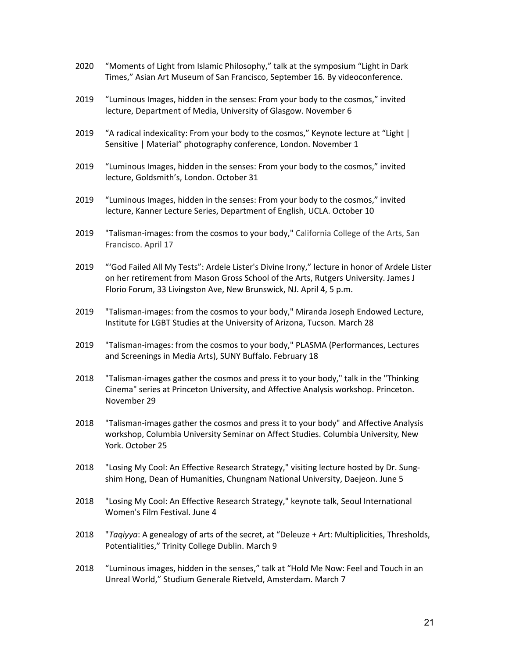- 2020 "Moments of Light from Islamic Philosophy," talk at the symposium "Light in Dark Times," Asian Art Museum of San Francisco, September 16. By videoconference.
- 2019 "Luminous Images, hidden in the senses: From your body to the cosmos," invited lecture, Department of Media, University of Glasgow. November 6
- 2019 "A radical indexicality: From your body to the cosmos," Keynote lecture at "Light | Sensitive | Material" photography conference, London. November 1
- 2019 "Luminous Images, hidden in the senses: From your body to the cosmos," invited lecture, Goldsmith's, London. October 31
- 2019 "Luminous Images, hidden in the senses: From your body to the cosmos," invited lecture, Kanner Lecture Series, Department of English, UCLA. October 10
- 2019 "Talisman-images: from the cosmos to your body," California College of the Arts, San Francisco. April 17
- 2019 "'God Failed All My Tests": Ardele Lister's Divine Irony," lecture in honor of Ardele Lister on her retirement from Mason Gross School of the Arts, Rutgers University. James J Florio Forum, 33 Livingston Ave, New Brunswick, NJ. April 4, 5 p.m.
- 2019 "Talisman-images: from the cosmos to your body," Miranda Joseph Endowed Lecture, Institute for LGBT Studies at the University of Arizona, Tucson. March 28
- 2019 "Talisman-images: from the cosmos to your body," PLASMA (Performances, Lectures and Screenings in Media Arts), SUNY Buffalo. February 18
- 2018 "Talisman-images gather the cosmos and press it to your body," talk in the "Thinking Cinema" series at Princeton University, and Affective Analysis workshop. Princeton. November 29
- 2018 "Talisman-images gather the cosmos and press it to your body" and Affective Analysis workshop, Columbia University Seminar on Affect Studies. Columbia University, New York. October 25
- 2018 "Losing My Cool: An Effective Research Strategy," visiting lecture hosted by Dr. Sungshim Hong, Dean of Humanities, Chungnam National University, Daejeon. June 5
- 2018 "Losing My Cool: An Effective Research Strategy," keynote talk, Seoul International Women's Film Festival. June 4
- 2018 "*Taqiyya*: A genealogy of arts of the secret, at "Deleuze + Art: Multiplicities, Thresholds, Potentialities," Trinity College Dublin. March 9
- 2018 "Luminous images, hidden in the senses," talk at "Hold Me Now: Feel and Touch in an Unreal World," Studium Generale Rietveld, Amsterdam. March 7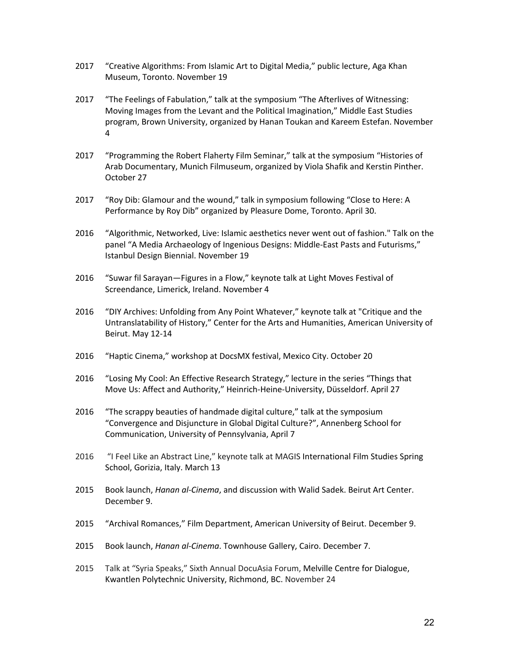- 2017 "Creative Algorithms: From Islamic Art to Digital Media," public lecture, Aga Khan Museum, Toronto. November 19
- 2017 "The Feelings of Fabulation," talk at the symposium "The Afterlives of Witnessing: Moving Images from the Levant and the Political Imagination," Middle East Studies program, Brown University, organized by Hanan Toukan and Kareem Estefan. November 4
- 2017 "Programming the Robert Flaherty Film Seminar," talk at the symposium "Histories of Arab Documentary, Munich Filmuseum, organized by Viola Shafik and Kerstin Pinther. October 27
- 2017 "Roy Dib: Glamour and the wound," talk in symposium following "Close to Here: A Performance by Roy Dib" organized by Pleasure Dome, Toronto. April 30.
- 2016 "Algorithmic, Networked, Live: Islamic aesthetics never went out of fashion." Talk on the panel "A Media Archaeology of Ingenious Designs: Middle-East Pasts and Futurisms," Istanbul Design Biennial. November 19
- 2016 "Suwar fil Sarayan—Figures in a Flow," keynote talk at Light Moves Festival of Screendance, Limerick, Ireland. November 4
- 2016 "DIY Archives: Unfolding from Any Point Whatever," keynote talk at "Critique and the Untranslatability of History," Center for the Arts and Humanities, American University of Beirut. May 12-14
- 2016 "Haptic Cinema," workshop at DocsMX festival, Mexico City. October 20
- 2016 "Losing My Cool: An Effective Research Strategy," lecture in the series "Things that Move Us: Affect and Authority," Heinrich-Heine-University, Düsseldorf. April 27
- 2016 "The scrappy beauties of handmade digital culture," talk at the symposium "Convergence and Disjuncture in Global Digital Culture?", Annenberg School for Communication, University of Pennsylvania, April 7
- 2016 "I Feel Like an Abstract Line," keynote talk at MAGIS International Film Studies Spring School, Gorizia, Italy. March 13
- 2015 Book launch, *Hanan al-Cinema*, and discussion with Walid Sadek. Beirut Art Center. December 9.
- 2015 "Archival Romances," Film Department, American University of Beirut. December 9.
- 2015 Book launch, *Hanan al-Cinema*. Townhouse Gallery, Cairo. December 7.
- 2015 Talk at "Syria Speaks," Sixth Annual DocuAsia Forum, Melville Centre for Dialogue, Kwantlen Polytechnic University, Richmond, BC. November 24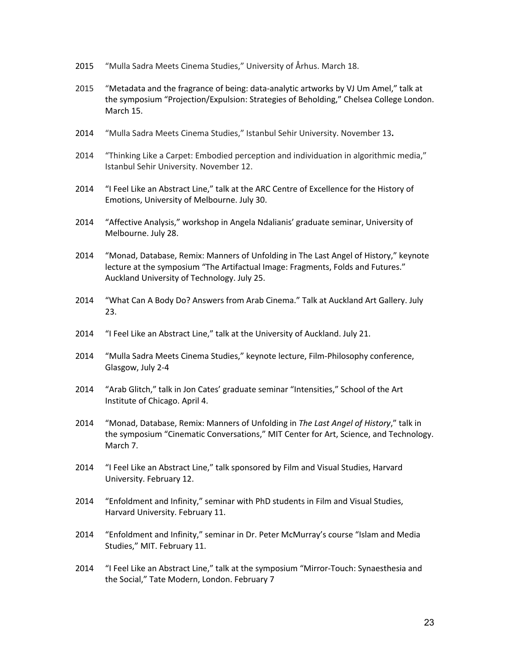- 2015 "Mulla Sadra Meets Cinema Studies," University of Århus. March 18.
- 2015 "Metadata and the fragrance of being: data-analytic artworks by VJ Um Amel," talk at the symposium "Projection/Expulsion: Strategies of Beholding," Chelsea College London. March 15.
- 2014 "Mulla Sadra Meets Cinema Studies," Istanbul Sehir University. November 13**.**
- 2014 "Thinking Like a Carpet: Embodied perception and individuation in algorithmic media," Istanbul Sehir University. November 12.
- 2014 "I Feel Like an Abstract Line," talk at the ARC Centre of Excellence for the History of Emotions, University of Melbourne. July 30.
- 2014 "Affective Analysis," workshop in Angela Ndalianis' graduate seminar, University of Melbourne. July 28.
- 2014 "Monad, Database, Remix: Manners of Unfolding in The Last Angel of History," keynote lecture at the symposium "The Artifactual Image: Fragments, Folds and Futures." Auckland University of Technology. July 25.
- 2014 "What Can A Body Do? Answers from Arab Cinema." Talk at Auckland Art Gallery. July 23.
- 2014 "I Feel Like an Abstract Line," talk at the University of Auckland. July 21.
- 2014 "Mulla Sadra Meets Cinema Studies," keynote lecture, Film-Philosophy conference, Glasgow, July 2-4
- 2014 "Arab Glitch," talk in Jon Cates' graduate seminar "Intensities," School of the Art Institute of Chicago. April 4.
- 2014 "Monad, Database, Remix: Manners of Unfolding in *The Last Angel of History*," talk in the symposium "Cinematic Conversations," MIT Center for Art, Science, and Technology. March 7.
- 2014 "I Feel Like an Abstract Line," talk sponsored by Film and Visual Studies, Harvard University. February 12.
- 2014 "Enfoldment and Infinity," seminar with PhD students in Film and Visual Studies, Harvard University. February 11.
- 2014 "Enfoldment and Infinity," seminar in Dr. Peter McMurray's course "Islam and Media Studies," MIT. February 11.
- 2014 "I Feel Like an Abstract Line," talk at the symposium "Mirror-Touch: Synaesthesia and the Social," Tate Modern, London. February 7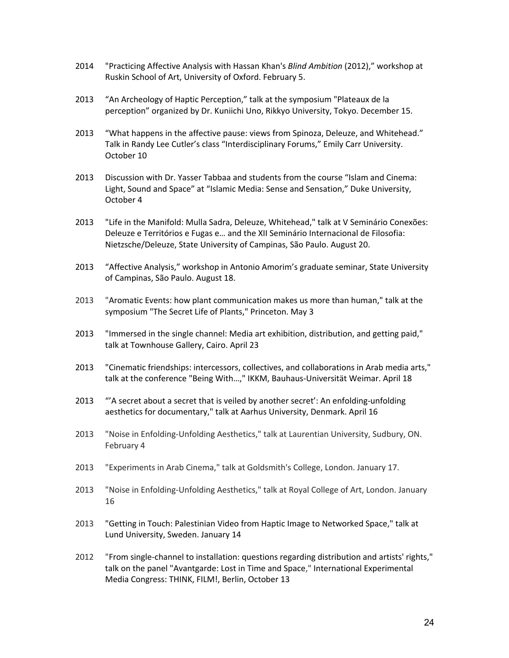- 2014 "Practicing Affective Analysis with Hassan Khan's *Blind Ambition* (2012)," workshop at Ruskin School of Art, University of Oxford. February 5.
- 2013 "An Archeology of Haptic Perception," talk at the symposium "Plateaux de la perception" organized by Dr. Kuniichi Uno, Rikkyo University, Tokyo. December 15.
- 2013 "What happens in the affective pause: views from Spinoza, Deleuze, and Whitehead." Talk in Randy Lee Cutler's class "Interdisciplinary Forums," Emily Carr University. October 10
- 2013 Discussion with Dr. Yasser Tabbaa and students from the course "Islam and Cinema: Light, Sound and Space" at "Islamic Media: Sense and Sensation," Duke University, October 4
- 2013 "Life in the Manifold: Mulla Sadra, Deleuze, Whitehead," talk at V Seminário Conexões: Deleuze e Territórios e Fugas e… and the XII Seminário Internacional de Filosofia: Nietzsche/Deleuze, State University of Campinas, São Paulo. August 20.
- 2013 "Affective Analysis," workshop in Antonio Amorim's graduate seminar, State University of Campinas, São Paulo. August 18.
- 2013 "Aromatic Events: how plant communication makes us more than human," talk at the symposium "The Secret Life of Plants," Princeton. May 3
- 2013 "Immersed in the single channel: Media art exhibition, distribution, and getting paid," talk at Townhouse Gallery, Cairo. April 23
- 2013 "Cinematic friendships: intercessors, collectives, and collaborations in Arab media arts," talk at the conference "Being With…," IKKM, Bauhaus-Universität Weimar. April 18
- 2013 "'A secret about a secret that is veiled by another secret': An enfolding-unfolding aesthetics for documentary," talk at Aarhus University, Denmark. April 16
- 2013 "Noise in Enfolding-Unfolding Aesthetics," talk at Laurentian University, Sudbury, ON. February 4
- 2013 "Experiments in Arab Cinema," talk at Goldsmith's College, London. January 17.
- 2013 "Noise in Enfolding-Unfolding Aesthetics," talk at Royal College of Art, London. January 16
- 2013 "Getting in Touch: Palestinian Video from Haptic Image to Networked Space," talk at Lund University, Sweden. January 14
- 2012 "From single-channel to installation: questions regarding distribution and artists' rights," talk on the panel "Avantgarde: Lost in Time and Space," International Experimental Media Congress: THINK, FILM!, Berlin, October 13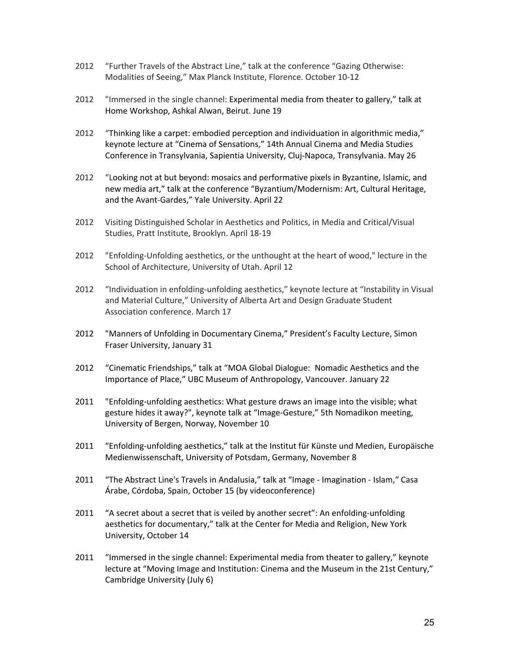- 2012 "Further Travels of the Abstract Line," talk at the conference "Gazing Otherwise: Modalities of Seeing," Max Planck Institute, Florence. October 10-12
- 2012 "Immersed in the single channel: Experimental media from theater to gallery," talk at Home Workshop, Ashkal Alwan, Beirut. June 19
- 2012 "Thinking like a carpet: embodied perception and individuation in algorithmic media," keynote lecture at "Cinema of Sensations," 14th Annual Cinema and Media Studies Conference in Transylvania, Sapientia University, Cluj-Napoca, Transylvania. May 26
- 2012 "Looking not at but beyond: mosaics and performative pixels in Byzantine, Islamic, and new media art," talk at the conference "Byzantium/Modernism: Art, Cultural Heritage, and the Avant-Gardes," Yale University. April 22
- 2012 Visiting Distinguished Scholar in Aesthetics and Politics, in Media and Critical/Visual Studies, Pratt Institute, Brooklyn. April 18-19
- 2012 "Enfolding-Unfolding aesthetics, or the unthought at the heart of wood," lecture in the School of Architecture, University of Utah. April 12
- 2012 "Individuation in enfolding-unfolding aesthetics," keynote lecture at "Instability in Visual and Material Culture," University of Alberta Art and Design Graduate Student Association conference. March 17
- 2012 "Manners of Unfolding in Documentary Cinema," President's Faculty Lecture, Simon Fraser University, January 31
- 2012 "Cinematic Friendships," talk at "MOA Global Dialogue: Nomadic Aesthetics and the Importance of Place," UBC Museum of Anthropology, Vancouver. January 22
- 2011 "Enfolding-unfolding aesthetics: What gesture draws an image into the visible; what gesture hides it away?", keynote talk at "Image-Gesture," 5th Nomadikon meeting, University of Bergen, Norway, November 10
- 2011 "Enfolding-unfolding aesthetics," talk at the Institut für Künste und Medien, Europäische Medienwissenschaft, University of Potsdam, Germany, November 8
- 2011 "The Abstract Line's Travels in Andalusia," talk at "Image Imagination Islam," Casa Árabe, Córdoba, Spain, October 15 (by videoconference)
- 2011 "A secret about a secret that is veiled by another secret": An enfolding-unfolding aesthetics for documentary," talk at the Center for Media and Religion, New York University, October 14
- 2011 "Immersed in the single channel: Experimental media from theater to gallery," keynote lecture at "Moving Image and Institution: Cinema and the Museum in the 21st Century," Cambridge University (July 6)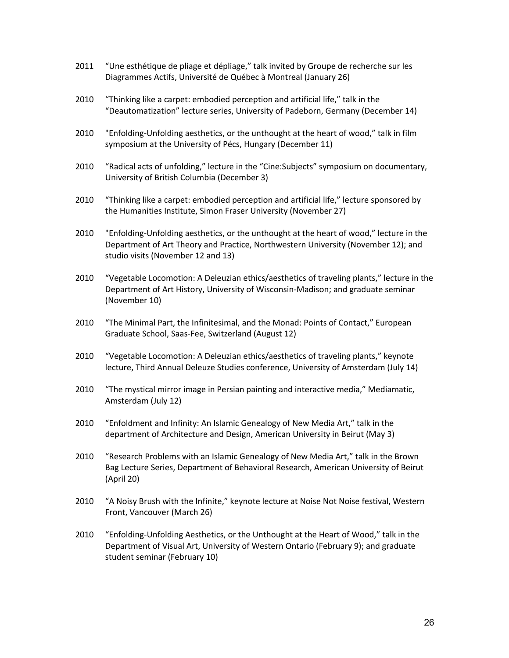- 2011 "Une esthétique de pliage et dépliage," talk invited by Groupe de recherche sur les Diagrammes Actifs, Université de Québec à Montreal (January 26)
- 2010 "Thinking like a carpet: embodied perception and artificial life," talk in the "Deautomatization" lecture series, University of Padeborn, Germany (December 14)
- 2010 "Enfolding-Unfolding aesthetics, or the unthought at the heart of wood," talk in film symposium at the University of Pécs, Hungary (December 11)
- 2010 "Radical acts of unfolding," lecture in the "Cine:Subjects" symposium on documentary, University of British Columbia (December 3)
- 2010 "Thinking like a carpet: embodied perception and artificial life," lecture sponsored by the Humanities Institute, Simon Fraser University (November 27)
- 2010 "Enfolding-Unfolding aesthetics, or the unthought at the heart of wood," lecture in the Department of Art Theory and Practice, Northwestern University (November 12); and studio visits (November 12 and 13)
- 2010 "Vegetable Locomotion: A Deleuzian ethics/aesthetics of traveling plants," lecture in the Department of Art History, University of Wisconsin-Madison; and graduate seminar (November 10)
- 2010 "The Minimal Part, the Infinitesimal, and the Monad: Points of Contact," European Graduate School, Saas-Fee, Switzerland (August 12)
- 2010 "Vegetable Locomotion: A Deleuzian ethics/aesthetics of traveling plants," keynote lecture, Third Annual Deleuze Studies conference, University of Amsterdam (July 14)
- 2010 "The mystical mirror image in Persian painting and interactive media," Mediamatic, Amsterdam (July 12)
- 2010 "Enfoldment and Infinity: An Islamic Genealogy of New Media Art," talk in the department of Architecture and Design, American University in Beirut (May 3)
- 2010 "Research Problems with an Islamic Genealogy of New Media Art," talk in the Brown Bag Lecture Series, Department of Behavioral Research, American University of Beirut (April 20)
- 2010 "A Noisy Brush with the Infinite," keynote lecture at Noise Not Noise festival, Western Front, Vancouver (March 26)
- 2010 "Enfolding-Unfolding Aesthetics, or the Unthought at the Heart of Wood," talk in the Department of Visual Art, University of Western Ontario (February 9); and graduate student seminar (February 10)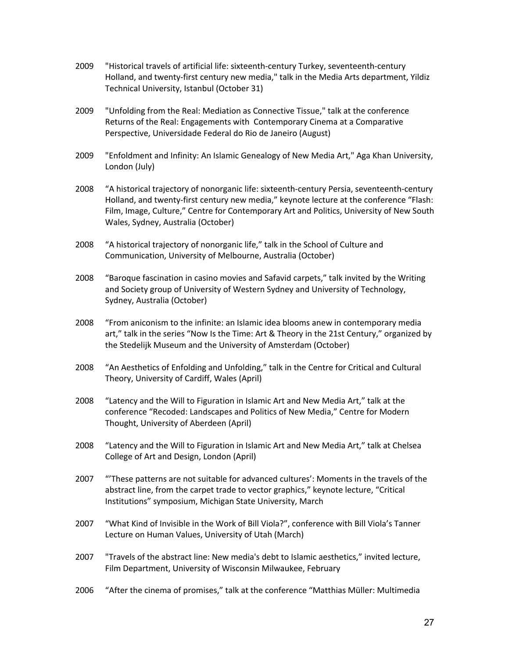- 2009 "Historical travels of artificial life: sixteenth-century Turkey, seventeenth-century Holland, and twenty-first century new media," talk in the Media Arts department, Yildiz Technical University, Istanbul (October 31)
- 2009 "Unfolding from the Real: Mediation as Connective Tissue," talk at the conference Returns of the Real: Engagements with Contemporary Cinema at a Comparative Perspective, Universidade Federal do Rio de Janeiro (August)
- 2009 "Enfoldment and Infinity: An Islamic Genealogy of New Media Art," Aga Khan University, London (July)
- 2008 "A historical trajectory of nonorganic life: sixteenth-century Persia, seventeenth-century Holland, and twenty-first century new media," keynote lecture at the conference "Flash: Film, Image, Culture," Centre for Contemporary Art and Politics, University of New South Wales, Sydney, Australia (October)
- 2008 "A historical trajectory of nonorganic life," talk in the School of Culture and Communication, University of Melbourne, Australia (October)
- 2008 "Baroque fascination in casino movies and Safavid carpets," talk invited by the Writing and Society group of University of Western Sydney and University of Technology, Sydney, Australia (October)
- 2008 "From aniconism to the infinite: an Islamic idea blooms anew in contemporary media art," talk in the series "Now Is the Time: Art & Theory in the 21st Century," organized by the Stedelijk Museum and the University of Amsterdam (October)
- 2008 "An Aesthetics of Enfolding and Unfolding," talk in the Centre for Critical and Cultural Theory, University of Cardiff, Wales (April)
- 2008 "Latency and the Will to Figuration in Islamic Art and New Media Art," talk at the conference "Recoded: Landscapes and Politics of New Media," Centre for Modern Thought, University of Aberdeen (April)
- 2008 "Latency and the Will to Figuration in Islamic Art and New Media Art," talk at Chelsea College of Art and Design, London (April)
- 2007 "'These patterns are not suitable for advanced cultures': Moments in the travels of the abstract line, from the carpet trade to vector graphics," keynote lecture, "Critical Institutions" symposium, Michigan State University, March
- 2007 "What Kind of Invisible in the Work of Bill Viola?", conference with Bill Viola's Tanner Lecture on Human Values, University of Utah (March)
- 2007 "Travels of the abstract line: New media's debt to Islamic aesthetics," invited lecture, Film Department, University of Wisconsin Milwaukee, February
- 2006 "After the cinema of promises," talk at the conference "Matthias Müller: Multimedia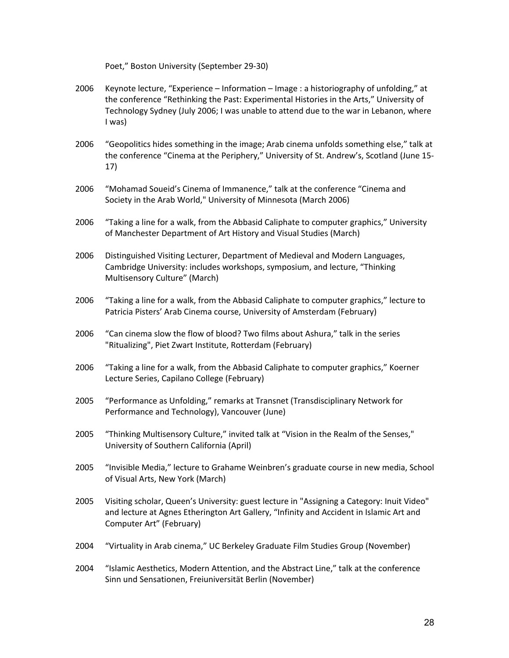Poet," Boston University (September 29-30)

- 2006 Keynote lecture, "Experience Information Image : a historiography of unfolding," at the conference "Rethinking the Past: Experimental Histories in the Arts," University of Technology Sydney (July 2006; I was unable to attend due to the war in Lebanon, where I was)
- 2006 "Geopolitics hides something in the image; Arab cinema unfolds something else," talk at the conference "Cinema at the Periphery," University of St. Andrew's, Scotland (June 15- 17)
- 2006 "Mohamad Soueid's Cinema of Immanence," talk at the conference "Cinema and Society in the Arab World," University of Minnesota (March 2006)
- 2006 "Taking a line for a walk, from the Abbasid Caliphate to computer graphics," University of Manchester Department of Art History and Visual Studies (March)
- 2006 Distinguished Visiting Lecturer, Department of Medieval and Modern Languages, Cambridge University: includes workshops, symposium, and lecture, "Thinking Multisensory Culture" (March)
- 2006 "Taking a line for a walk, from the Abbasid Caliphate to computer graphics," lecture to Patricia Pisters' Arab Cinema course, University of Amsterdam (February)
- 2006 "Can cinema slow the flow of blood? Two films about Ashura," talk in the series "Ritualizing", Piet Zwart Institute, Rotterdam (February)
- 2006 "Taking a line for a walk, from the Abbasid Caliphate to computer graphics," Koerner Lecture Series, Capilano College (February)
- 2005 "Performance as Unfolding," remarks at Transnet (Transdisciplinary Network for Performance and Technology), Vancouver (June)
- 2005 "Thinking Multisensory Culture," invited talk at "Vision in the Realm of the Senses," University of Southern California (April)
- 2005 "Invisible Media," lecture to Grahame Weinbren's graduate course in new media, School of Visual Arts, New York (March)
- 2005 Visiting scholar, Queen's University: guest lecture in "Assigning a Category: Inuit Video" and lecture at Agnes Etherington Art Gallery, "Infinity and Accident in Islamic Art and Computer Art" (February)
- 2004 "Virtuality in Arab cinema," UC Berkeley Graduate Film Studies Group (November)
- 2004 "Islamic Aesthetics, Modern Attention, and the Abstract Line," talk at the conference Sinn und Sensationen, Freiuniversität Berlin (November)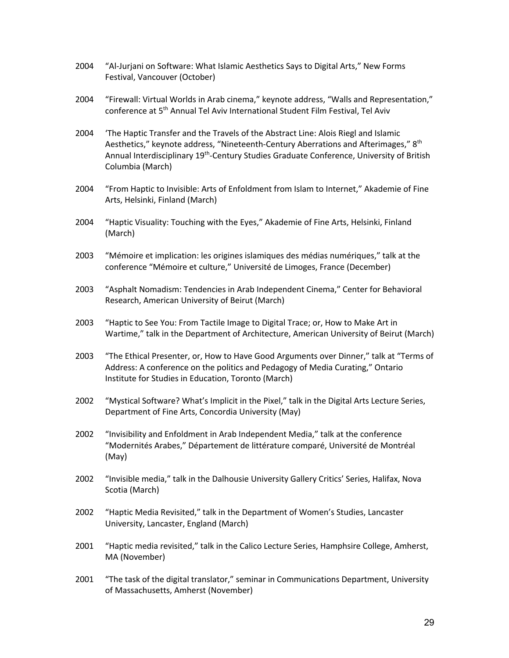- 2004 "Al-Jurjani on Software: What Islamic Aesthetics Says to Digital Arts," New Forms Festival, Vancouver (October)
- 2004 "Firewall: Virtual Worlds in Arab cinema," keynote address, "Walls and Representation," conference at 5th Annual Tel Aviv International Student Film Festival, Tel Aviv
- 2004 'The Haptic Transfer and the Travels of the Abstract Line: Alois Riegl and Islamic Aesthetics," keynote address, "Nineteenth-Century Aberrations and Afterimages," 8<sup>th</sup> Annual Interdisciplinary 19<sup>th</sup>-Century Studies Graduate Conference, University of British Columbia (March)
- 2004 "From Haptic to Invisible: Arts of Enfoldment from Islam to Internet," Akademie of Fine Arts, Helsinki, Finland (March)
- 2004 "Haptic Visuality: Touching with the Eyes," Akademie of Fine Arts, Helsinki, Finland (March)
- 2003 "Mémoire et implication: les origines islamiques des médias numériques," talk at the conference "Mémoire et culture," Université de Limoges, France (December)
- 2003 "Asphalt Nomadism: Tendencies in Arab Independent Cinema," Center for Behavioral Research, American University of Beirut (March)
- 2003 "Haptic to See You: From Tactile Image to Digital Trace; or, How to Make Art in Wartime," talk in the Department of Architecture, American University of Beirut (March)
- 2003 "The Ethical Presenter, or, How to Have Good Arguments over Dinner," talk at "Terms of Address: A conference on the politics and Pedagogy of Media Curating," Ontario Institute for Studies in Education, Toronto (March)
- 2002 "Mystical Software? What's Implicit in the Pixel," talk in the Digital Arts Lecture Series, Department of Fine Arts, Concordia University (May)
- 2002 "Invisibility and Enfoldment in Arab Independent Media," talk at the conference "Modernités Arabes," Département de littérature comparé, Université de Montréal (May)
- 2002 "Invisible media," talk in the Dalhousie University Gallery Critics' Series, Halifax, Nova Scotia (March)
- 2002 "Haptic Media Revisited," talk in the Department of Women's Studies, Lancaster University, Lancaster, England (March)
- 2001 "Haptic media revisited," talk in the Calico Lecture Series, Hamphsire College, Amherst, MA (November)
- 2001 "The task of the digital translator," seminar in Communications Department, University of Massachusetts, Amherst (November)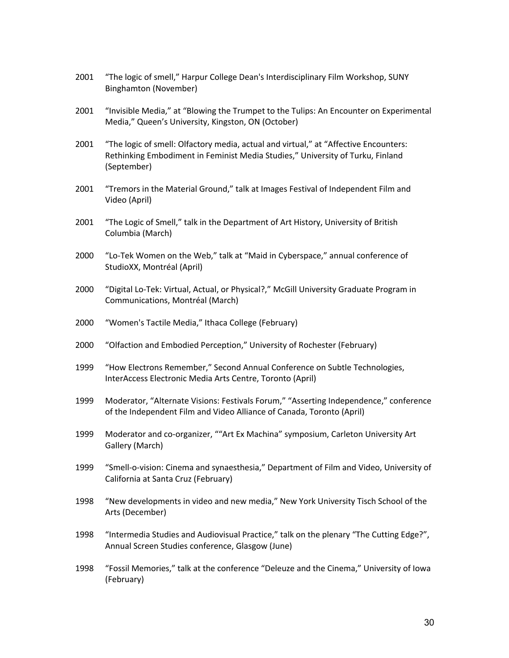- 2001 "The logic of smell," Harpur College Dean's Interdisciplinary Film Workshop, SUNY Binghamton (November)
- 2001 "Invisible Media," at "Blowing the Trumpet to the Tulips: An Encounter on Experimental Media," Queen's University, Kingston, ON (October)
- 2001 "The logic of smell: Olfactory media, actual and virtual," at "Affective Encounters: Rethinking Embodiment in Feminist Media Studies," University of Turku, Finland (September)
- 2001 "Tremors in the Material Ground," talk at Images Festival of Independent Film and Video (April)
- 2001 "The Logic of Smell," talk in the Department of Art History, University of British Columbia (March)
- 2000 "Lo-Tek Women on the Web," talk at "Maid in Cyberspace," annual conference of StudioXX, Montréal (April)
- 2000 "Digital Lo-Tek: Virtual, Actual, or Physical?," McGill University Graduate Program in Communications, Montréal (March)
- 2000 "Women's Tactile Media," Ithaca College (February)
- 2000 "Olfaction and Embodied Perception," University of Rochester (February)
- 1999 "How Electrons Remember," Second Annual Conference on Subtle Technologies, InterAccess Electronic Media Arts Centre, Toronto (April)
- 1999 Moderator, "Alternate Visions: Festivals Forum," "Asserting Independence," conference of the Independent Film and Video Alliance of Canada, Toronto (April)
- 1999 Moderator and co-organizer, ""Art Ex Machina" symposium, Carleton University Art Gallery (March)
- 1999 "Smell-o-vision: Cinema and synaesthesia," Department of Film and Video, University of California at Santa Cruz (February)
- 1998 "New developments in video and new media," New York University Tisch School of the Arts (December)
- 1998 "Intermedia Studies and Audiovisual Practice," talk on the plenary "The Cutting Edge?", Annual Screen Studies conference, Glasgow (June)
- 1998 "Fossil Memories," talk at the conference "Deleuze and the Cinema," University of Iowa (February)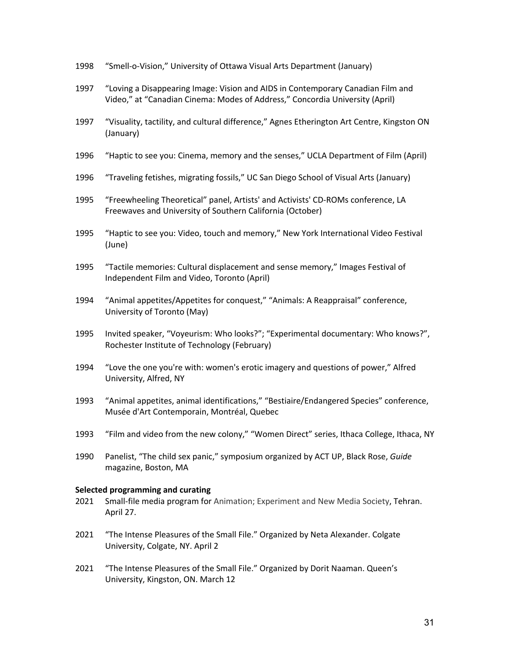- 1998 "Smell-o-Vision," University of Ottawa Visual Arts Department (January)
- 1997 "Loving a Disappearing Image: Vision and AIDS in Contemporary Canadian Film and Video," at "Canadian Cinema: Modes of Address," Concordia University (April)
- 1997 "Visuality, tactility, and cultural difference," Agnes Etherington Art Centre, Kingston ON (January)
- 1996 "Haptic to see you: Cinema, memory and the senses," UCLA Department of Film (April)
- 1996 "Traveling fetishes, migrating fossils," UC San Diego School of Visual Arts (January)
- 1995 "Freewheeling Theoretical" panel, Artists' and Activists' CD-ROMs conference, LA Freewaves and University of Southern California (October)
- 1995 "Haptic to see you: Video, touch and memory," New York International Video Festival (June)
- 1995 "Tactile memories: Cultural displacement and sense memory," Images Festival of Independent Film and Video, Toronto (April)
- 1994 "Animal appetites/Appetites for conquest," "Animals: A Reappraisal" conference, University of Toronto (May)
- 1995 Invited speaker, "Voyeurism: Who looks?"; "Experimental documentary: Who knows?", Rochester Institute of Technology (February)
- 1994 "Love the one you're with: women's erotic imagery and questions of power," Alfred University, Alfred, NY
- 1993 "Animal appetites, animal identifications," "Bestiaire/Endangered Species" conference, Musée d'Art Contemporain, Montréal, Quebec
- 1993 "Film and video from the new colony," "Women Direct" series, Ithaca College, Ithaca, NY
- 1990 Panelist, "The child sex panic," symposium organized by ACT UP, Black Rose, *Guide* magazine, Boston, MA

#### **Selected programming and curating**

- 2021 Small-file media program for Animation; Experiment and New Media Society, Tehran. April 27.
- 2021 "The Intense Pleasures of the Small File." Organized by Neta Alexander. Colgate University, Colgate, NY. April 2
- 2021 "The Intense Pleasures of the Small File." Organized by Dorit Naaman. Queen's University, Kingston, ON. March 12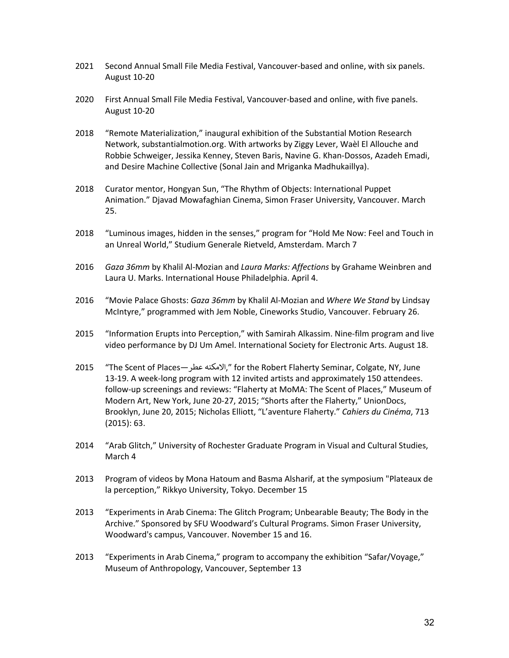- 2021 Second Annual Small File Media Festival, Vancouver-based and online, with six panels. August 10-20
- 2020 First Annual Small File Media Festival, Vancouver-based and online, with five panels. August 10-20
- 2018 "Remote Materialization," inaugural exhibition of the Substantial Motion Research Network, substantialmotion.org. With artworks by Ziggy Lever, Waèl El Allouche and Robbie Schweiger, Jessika Kenney, Steven Baris, Navine G. Khan-Dossos, Azadeh Emadi, and Desire Machine Collective (Sonal Jain and Mriganka Madhukaillya).
- 2018 Curator mentor, Hongyan Sun, "The Rhythm of Objects: International Puppet Animation." Djavad Mowafaghian Cinema, Simon Fraser University, Vancouver. March 25.
- 2018 "Luminous images, hidden in the senses," program for "Hold Me Now: Feel and Touch in an Unreal World," Studium Generale Rietveld, Amsterdam. March 7
- 2016 *Gaza 36mm* by Khalil Al-Mozian and *Laura Marks: Affections* by Grahame Weinbren and Laura U. Marks. International House Philadelphia. April 4.
- 2016 "Movie Palace Ghosts: *Gaza 36mm* by Khalil Al-Mozian and *Where We Stand* by Lindsay McIntyre," programmed with Jem Noble, Cineworks Studio, Vancouver. February 26.
- 2015 "Information Erupts into Perception," with Samirah Alkassim. Nine-film program and live video performance by DJ Um Amel. International Society for Electronic Arts. August 18.
- 2015 "The Scent of Places—عطر الامكنه, "for the Robert Flaherty Seminar, Colgate, NY, June 13-19. A week-long program with 12 invited artists and approximately 150 attendees. follow-up screenings and reviews: "Flaherty at MoMA: The Scent of Places," Museum of Modern Art, New York, June 20-27, 2015; "Shorts after the Flaherty," UnionDocs, Brooklyn, June 20, 2015; Nicholas Elliott, "L'aventure Flaherty." *Cahiers du Cinéma*, 713 (2015): 63.
- 2014 "Arab Glitch," University of Rochester Graduate Program in Visual and Cultural Studies, March 4
- 2013 Program of videos by Mona Hatoum and Basma Alsharif, at the symposium "Plateaux de la perception," Rikkyo University, Tokyo. December 15
- 2013 "Experiments in Arab Cinema: The Glitch Program; Unbearable Beauty; The Body in the Archive." Sponsored by SFU Woodward's Cultural Programs. Simon Fraser University, Woodward's campus, Vancouver. November 15 and 16.
- 2013 "Experiments in Arab Cinema," program to accompany the exhibition "Safar/Voyage," Museum of Anthropology, Vancouver, September 13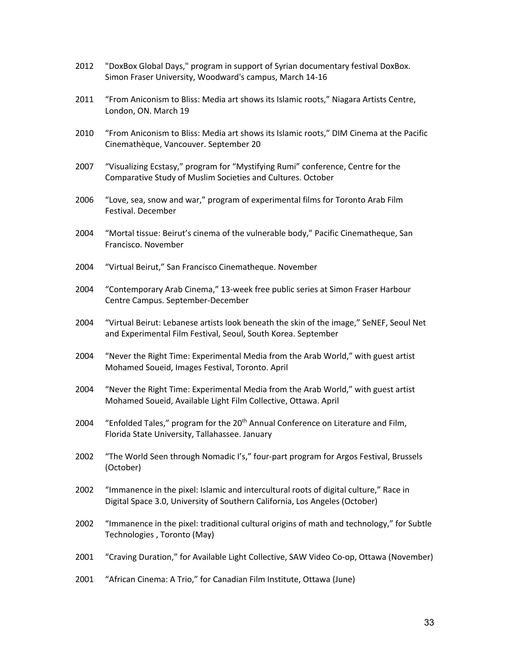- 2012 "DoxBox Global Days," program in support of Syrian documentary festival DoxBox. Simon Fraser University, Woodward's campus, March 14-16
- 2011 "From Aniconism to Bliss: Media art shows its Islamic roots," Niagara Artists Centre, London, ON. March 19
- 2010 "From Aniconism to Bliss: Media art shows its Islamic roots," DIM Cinema at the Pacific Cinemathèque, Vancouver. September 20
- 2007 "Visualizing Ecstasy," program for "Mystifying Rumi" conference, Centre for the Comparative Study of Muslim Societies and Cultures. October
- 2006 "Love, sea, snow and war," program of experimental films for Toronto Arab Film Festival. December
- 2004 "Mortal tissue: Beirut's cinema of the vulnerable body," Pacific Cinematheque, San Francisco. November
- 2004 "Virtual Beirut," San Francisco Cinematheque. November
- 2004 "Contemporary Arab Cinema," 13-week free public series at Simon Fraser Harbour Centre Campus. September-December
- 2004 "Virtual Beirut: Lebanese artists look beneath the skin of the image," SeNEF, Seoul Net and Experimental Film Festival, Seoul, South Korea. September
- 2004 "Never the Right Time: Experimental Media from the Arab World," with guest artist Mohamed Soueid, Images Festival, Toronto. April
- 2004 "Never the Right Time: Experimental Media from the Arab World," with guest artist Mohamed Soueid, Available Light Film Collective, Ottawa. April
- 2004 "Enfolded Tales," program for the 20<sup>th</sup> Annual Conference on Literature and Film, Florida State University, Tallahassee. January
- 2002 "The World Seen through Nomadic I's," four-part program for Argos Festival, Brussels (October)
- 2002 "Immanence in the pixel: Islamic and intercultural roots of digital culture," Race in Digital Space 3.0, University of Southern California, Los Angeles (October)
- 2002 "Immanence in the pixel: traditional cultural origins of math and technology," for Subtle Technologies , Toronto (May)
- 2001 "Craving Duration," for Available Light Collective, SAW Video Co-op, Ottawa (November)
- 2001 "African Cinema: A Trio," for Canadian Film Institute, Ottawa (June)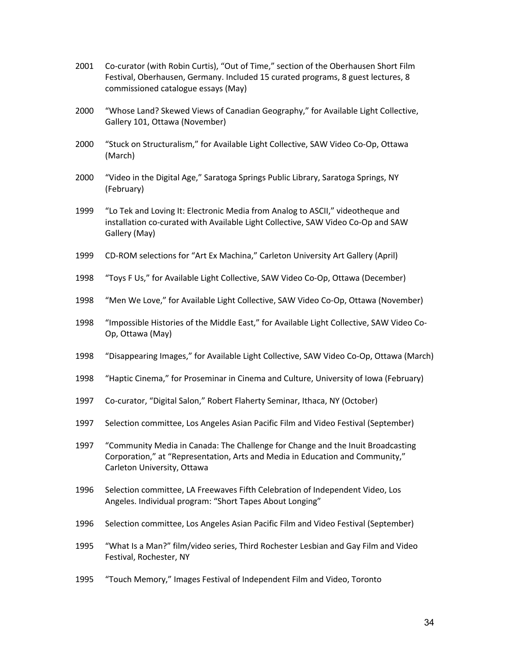- 2001 Co-curator (with Robin Curtis), "Out of Time," section of the Oberhausen Short Film Festival, Oberhausen, Germany. Included 15 curated programs, 8 guest lectures, 8 commissioned catalogue essays (May)
- 2000 "Whose Land? Skewed Views of Canadian Geography," for Available Light Collective, Gallery 101, Ottawa (November)
- 2000 "Stuck on Structuralism," for Available Light Collective, SAW Video Co-Op, Ottawa (March)
- 2000 "Video in the Digital Age," Saratoga Springs Public Library, Saratoga Springs, NY (February)
- 1999 "Lo Tek and Loving It: Electronic Media from Analog to ASCII," videotheque and installation co-curated with Available Light Collective, SAW Video Co-Op and SAW Gallery (May)
- 1999 CD-ROM selections for "Art Ex Machina," Carleton University Art Gallery (April)
- 1998 "Toys F Us," for Available Light Collective, SAW Video Co-Op, Ottawa (December)
- 1998 "Men We Love," for Available Light Collective, SAW Video Co-Op, Ottawa (November)
- 1998 "Impossible Histories of the Middle East," for Available Light Collective, SAW Video Co-Op, Ottawa (May)
- 1998 "Disappearing Images," for Available Light Collective, SAW Video Co-Op, Ottawa (March)
- 1998 "Haptic Cinema," for Proseminar in Cinema and Culture, University of Iowa (February)
- 1997 Co-curator, "Digital Salon," Robert Flaherty Seminar, Ithaca, NY (October)
- 1997 Selection committee, Los Angeles Asian Pacific Film and Video Festival (September)
- 1997 "Community Media in Canada: The Challenge for Change and the Inuit Broadcasting Corporation," at "Representation, Arts and Media in Education and Community," Carleton University, Ottawa
- 1996 Selection committee, LA Freewaves Fifth Celebration of Independent Video, Los Angeles. Individual program: "Short Tapes About Longing"
- 1996 Selection committee, Los Angeles Asian Pacific Film and Video Festival (September)
- 1995 "What Is a Man?" film/video series, Third Rochester Lesbian and Gay Film and Video Festival, Rochester, NY
- 1995 "Touch Memory," Images Festival of Independent Film and Video, Toronto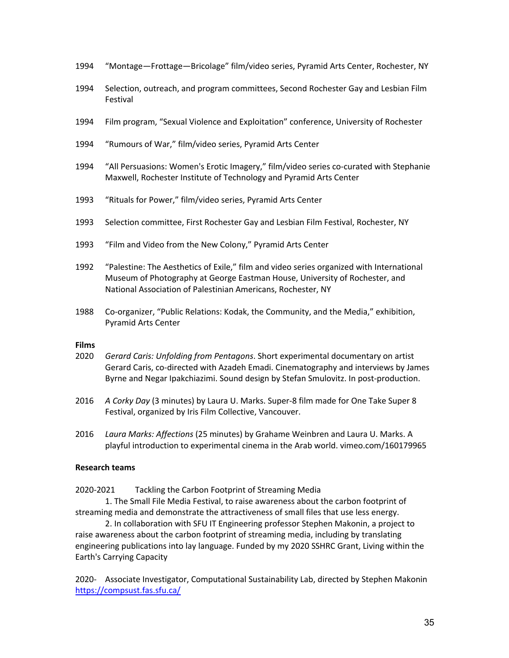- 1994 "Montage—Frottage—Bricolage" film/video series, Pyramid Arts Center, Rochester, NY
- 1994 Selection, outreach, and program committees, Second Rochester Gay and Lesbian Film Festival
- 1994 Film program, "Sexual Violence and Exploitation" conference, University of Rochester
- 1994 "Rumours of War," film/video series, Pyramid Arts Center
- 1994 "All Persuasions: Women's Erotic Imagery," film/video series co-curated with Stephanie Maxwell, Rochester Institute of Technology and Pyramid Arts Center
- 1993 "Rituals for Power," film/video series, Pyramid Arts Center
- 1993 Selection committee, First Rochester Gay and Lesbian Film Festival, Rochester, NY
- 1993 "Film and Video from the New Colony," Pyramid Arts Center
- 1992 "Palestine: The Aesthetics of Exile," film and video series organized with International Museum of Photography at George Eastman House, University of Rochester, and National Association of Palestinian Americans, Rochester, NY
- 1988 Co-organizer, "Public Relations: Kodak, the Community, and the Media," exhibition, Pyramid Arts Center

### **Films**

- 2020 *Gerard Caris: Unfolding from Pentagons*. Short experimental documentary on artist Gerard Caris, co-directed with Azadeh Emadi. Cinematography and interviews by James Byrne and Negar Ipakchiazimi. Sound design by Stefan Smulovitz. In post-production.
- 2016 *A Corky Day* (3 minutes) by Laura U. Marks. Super-8 film made for One Take Super 8 Festival, organized by Iris Film Collective, Vancouver.
- 2016 *Laura Marks: Affections* (25 minutes) by Grahame Weinbren and Laura U. Marks. A playful introduction to experimental cinema in the Arab world. vimeo.com/160179965

### **Research teams**

2020-2021 Tackling the Carbon Footprint of Streaming Media

1. The Small File Media Festival, to raise awareness about the carbon footprint of streaming media and demonstrate the attractiveness of small files that use less energy.

2. In collaboration with SFU IT Engineering professor Stephen Makonin, a project to raise awareness about the carbon footprint of streaming media, including by translating engineering publications into lay language. Funded by my 2020 SSHRC Grant, Living within the Earth's Carrying Capacity

2020- Associate Investigator, Computational Sustainability Lab, directed by Stephen Makonin https://compsust.fas.sfu.ca/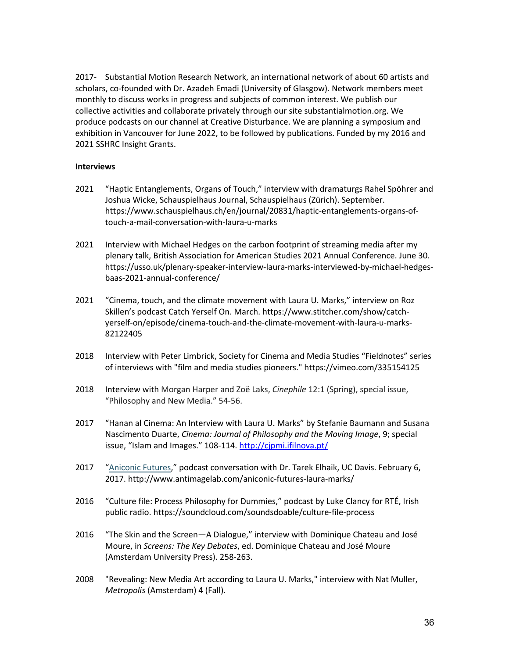2017- Substantial Motion Research Network, an international network of about 60 artists and scholars, co-founded with Dr. Azadeh Emadi (University of Glasgow). Network members meet monthly to discuss works in progress and subjects of common interest. We publish our collective activities and collaborate privately through our site substantialmotion.org. We produce podcasts on our channel at Creative Disturbance. We are planning a symposium and exhibition in Vancouver for June 2022, to be followed by publications. Funded by my 2016 and 2021 SSHRC Insight Grants.

### **Interviews**

- 2021 "Haptic Entanglements, Organs of Touch," interview with dramaturgs Rahel Spöhrer and Joshua Wicke, Schauspielhaus Journal, Schauspielhaus (Zürich). September. https://www.schauspielhaus.ch/en/journal/20831/haptic-entanglements-organs-oftouch-a-mail-conversation-with-laura-u-marks
- 2021 Interview with Michael Hedges on the carbon footprint of streaming media after my plenary talk, British Association for American Studies 2021 Annual Conference. June 30. https://usso.uk/plenary-speaker-interview-laura-marks-interviewed-by-michael-hedgesbaas-2021-annual-conference/
- 2021 "Cinema, touch, and the climate movement with Laura U. Marks," interview on Roz Skillen's podcast Catch Yerself On. March. https://www.stitcher.com/show/catchyerself-on/episode/cinema-touch-and-the-climate-movement-with-laura-u-marks-82122405
- 2018 Interview with Peter Limbrick, Society for Cinema and Media Studies "Fieldnotes" series of interviews with "film and media studies pioneers." https://vimeo.com/335154125
- 2018 Interview with Morgan Harper and Zoë Laks, *Cinephile* 12:1 (Spring), special issue, "Philosophy and New Media." 54-56.
- 2017 "Hanan al Cinema: An Interview with Laura U. Marks" by Stefanie Baumann and Susana Nascimento Duarte, *Cinema: Journal of Philosophy and the Moving Image*, 9; special issue, "Islam and Images." 108-114. http://cjpmi.ifilnova.pt/
- 2017 "Aniconic Futures," podcast conversation with Dr. Tarek Elhaik, UC Davis. February 6, 2017. http://www.antimagelab.com/aniconic-futures-laura-marks/
- 2016 "Culture file: Process Philosophy for Dummies," podcast by Luke Clancy for RTÉ, Irish public radio. https://soundcloud.com/soundsdoable/culture-file-process
- 2016 "The Skin and the Screen—A Dialogue," interview with Dominique Chateau and José Moure, in *Screens: The Key Debates*, ed. Dominique Chateau and José Moure (Amsterdam University Press). 258-263.
- 2008 "Revealing: New Media Art according to Laura U. Marks," interview with Nat Muller, *Metropolis* (Amsterdam) 4 (Fall).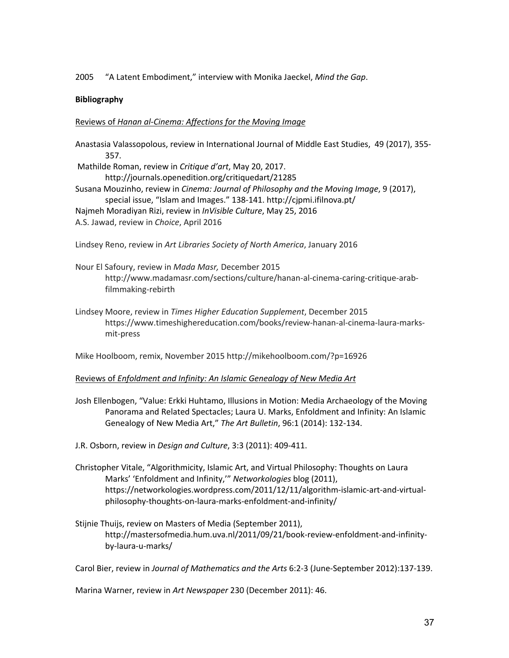2005 "A Latent Embodiment," interview with Monika Jaeckel, *Mind the Gap*.

# **Bibliography**

# Reviews of *Hanan al-Cinema: Affections for the Moving Image*

Anastasia Valassopolous, review in International Journal of Middle East Studies, 49 (2017), 355- 357. Mathilde Roman, review in *Critique d'art*, May 20, 2017. http://journals.openedition.org/critiquedart/21285 Susana Mouzinho, review in *Cinema: Journal of Philosophy and the Moving Image*, 9 (2017), special issue, "Islam and Images." 138-141. http://cjpmi.ifilnova.pt/ Najmeh Moradiyan Rizi, review in *InVisible Culture*, May 25, 2016 A.S. Jawad, review in *Choice*, April 2016

Lindsey Reno, review in *Art Libraries Society of North America*, January 2016

- Nour El Safoury, review in *Mada Masr,* December 2015 http://www.madamasr.com/sections/culture/hanan-al-cinema-caring-critique-arabfilmmaking-rebirth
- Lindsey Moore, review in *Times Higher Education Supplement*, December 2015 https://www.timeshighereducation.com/books/review-hanan-al-cinema-laura-marksmit-press

Mike Hoolboom, remix, November 2015 http://mikehoolboom.com/?p=16926

# Reviews of *Enfoldment and Infinity: An Islamic Genealogy of New Media Art*

Josh Ellenbogen, "Value: Erkki Huhtamo, Illusions in Motion: Media Archaeology of the Moving Panorama and Related Spectacles; Laura U. Marks, Enfoldment and Infinity: An Islamic Genealogy of New Media Art," *The Art Bulletin*, 96:1 (2014): 132-134.

J.R. Osborn, review in *Design and Culture*, 3:3 (2011): 409-411.

- Christopher Vitale, "Algorithmicity, Islamic Art, and Virtual Philosophy: Thoughts on Laura Marks' 'Enfoldment and Infinity,'" *Networkologies* blog (2011), https://networkologies.wordpress.com/2011/12/11/algorithm-islamic-art-and-virtualphilosophy-thoughts-on-laura-marks-enfoldment-and-infinity/
- Stijnie Thuijs, review on Masters of Media (September 2011), http://mastersofmedia.hum.uva.nl/2011/09/21/book-review-enfoldment-and-infinityby-laura-u-marks/

Carol Bier, review in *Journal of Mathematics and the Arts* 6:2-3 (June-September 2012):137-139.

Marina Warner, review in *Art Newspaper* 230 (December 2011): 46.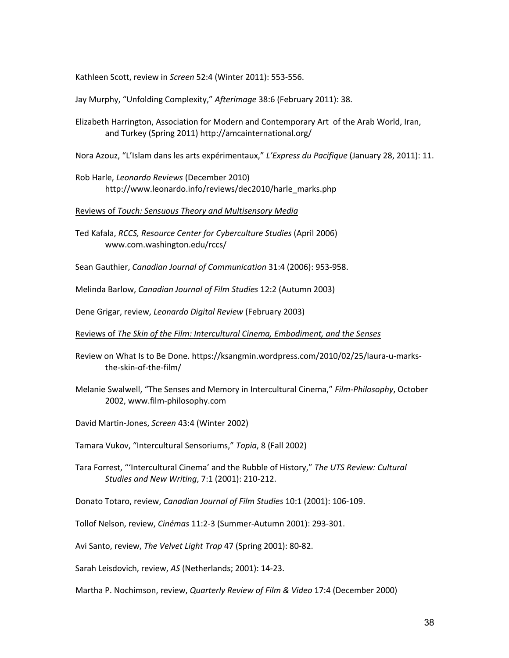Kathleen Scott, review in *Screen* 52:4 (Winter 2011): 553-556.

Jay Murphy, "Unfolding Complexity," *Afterimage* 38:6 (February 2011): 38.

Elizabeth Harrington, Association for Modern and Contemporary Art of the Arab World, Iran, and Turkey (Spring 2011) http://amcainternational.org/

Nora Azouz, "L'Islam dans les arts expérimentaux," *L'Express du Pacifique* (January 28, 2011): 11.

Rob Harle, *Leonardo Reviews* (December 2010) http://www.leonardo.info/reviews/dec2010/harle\_marks.php

Reviews of *Touch: Sensuous Theory and Multisensory Media*

Ted Kafala, *RCCS, Resource Center for Cyberculture Studies* (April 2006) www.com.washington.edu/rccs/

Sean Gauthier, *Canadian Journal of Communication* 31:4 (2006): 953-958.

Melinda Barlow, *Canadian Journal of Film Studies* 12:2 (Autumn 2003)

Dene Grigar, review, *Leonardo Digital Review* (February 2003)

Reviews of *The Skin of the Film: Intercultural Cinema, Embodiment, and the Senses*

Review on What Is to Be Done. https://ksangmin.wordpress.com/2010/02/25/laura-u-marksthe-skin-of-the-film/

Melanie Swalwell, "The Senses and Memory in Intercultural Cinema," *Film-Philosophy*, October 2002, www.film-philosophy.com

David Martin-Jones, *Screen* 43:4 (Winter 2002)

Tamara Vukov, "Intercultural Sensoriums," *Topia*, 8 (Fall 2002)

Tara Forrest, "'Intercultural Cinema' and the Rubble of History," *The UTS Review: Cultural Studies and New Writing*, 7:1 (2001): 210-212.

Donato Totaro, review, *Canadian Journal of Film Studies* 10:1 (2001): 106-109.

Tollof Nelson, review, *Cinémas* 11:2-3 (Summer-Autumn 2001): 293-301.

Avi Santo, review, *The Velvet Light Trap* 47 (Spring 2001): 80-82.

Sarah Leisdovich, review, *AS* (Netherlands; 2001): 14-23.

Martha P. Nochimson, review, *Quarterly Review of Film & Video* 17:4 (December 2000)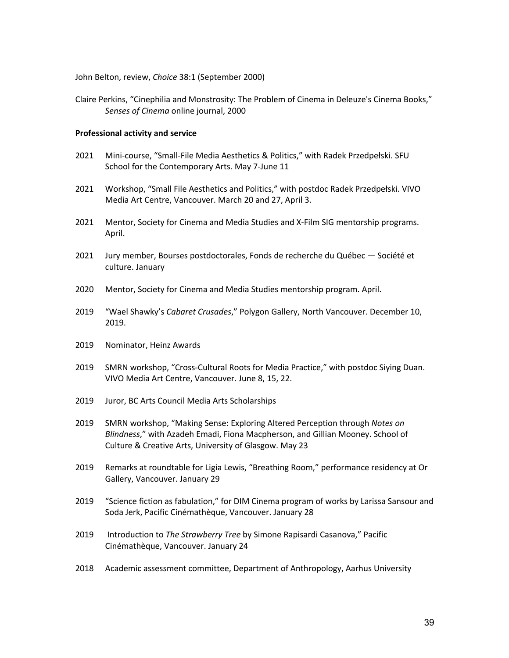John Belton, review, *Choice* 38:1 (September 2000)

Claire Perkins, "Cinephilia and Monstrosity: The Problem of Cinema in Deleuze's Cinema Books," *Senses of Cinema* online journal, 2000

#### **Professional activity and service**

- 2021 Mini-course, "Small-File Media Aesthetics & Politics," with Radek Przedpełski. SFU School for the Contemporary Arts. May 7-June 11
- 2021 Workshop, "Small File Aesthetics and Politics," with postdoc Radek Przedpełski. VIVO Media Art Centre, Vancouver. March 20 and 27, April 3.
- 2021 Mentor, Society for Cinema and Media Studies and X-Film SIG mentorship programs. April.
- 2021 Jury member, Bourses postdoctorales, Fonds de recherche du Québec Société et culture. January
- 2020 Mentor, Society for Cinema and Media Studies mentorship program. April.
- 2019 "Wael Shawky's *Cabaret Crusades*," Polygon Gallery, North Vancouver. December 10, 2019.
- 2019 Nominator, Heinz Awards
- 2019 SMRN workshop, "Cross-Cultural Roots for Media Practice," with postdoc Siying Duan. VIVO Media Art Centre, Vancouver. June 8, 15, 22.
- 2019 Juror, BC Arts Council Media Arts Scholarships
- 2019 SMRN workshop, "Making Sense: Exploring Altered Perception through *Notes on Blindness*," with Azadeh Emadi, Fiona Macpherson, and Gillian Mooney. School of Culture & Creative Arts, University of Glasgow. May 23
- 2019 Remarks at roundtable for Ligia Lewis, "Breathing Room," performance residency at Or Gallery, Vancouver. January 29
- 2019 "Science fiction as fabulation," for DIM Cinema program of works by Larissa Sansour and Soda Jerk, Pacific Cinémathèque, Vancouver. January 28
- 2019 Introduction to *The Strawberry Tree* by Simone Rapisardi Casanova," Pacific Cinémathèque, Vancouver. January 24
- 2018 Academic assessment committee, Department of Anthropology, Aarhus University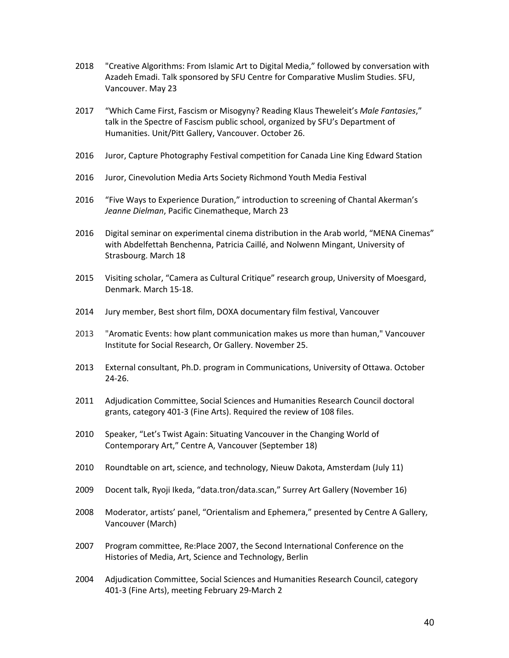- 2018 "Creative Algorithms: From Islamic Art to Digital Media," followed by conversation with Azadeh Emadi. Talk sponsored by SFU Centre for Comparative Muslim Studies. SFU, Vancouver. May 23
- 2017 "Which Came First, Fascism or Misogyny? Reading Klaus Theweleit's *Male Fantasies*," talk in the Spectre of Fascism public school, organized by SFU's Department of Humanities. Unit/Pitt Gallery, Vancouver. October 26.
- 2016 Juror, Capture Photography Festival competition for Canada Line King Edward Station
- 2016 Juror, Cinevolution Media Arts Society Richmond Youth Media Festival
- 2016 "Five Ways to Experience Duration," introduction to screening of Chantal Akerman's *Jeanne Dielman*, Pacific Cinematheque, March 23
- 2016 Digital seminar on experimental cinema distribution in the Arab world, "MENA Cinemas" with Abdelfettah Benchenna, Patricia Caillé, and Nolwenn Mingant, University of Strasbourg. March 18
- 2015 Visiting scholar, "Camera as Cultural Critique" research group, University of Moesgard, Denmark. March 15-18.
- 2014 Jury member, Best short film, DOXA documentary film festival, Vancouver
- 2013 "Aromatic Events: how plant communication makes us more than human," Vancouver Institute for Social Research, Or Gallery. November 25.
- 2013 External consultant, Ph.D. program in Communications, University of Ottawa. October 24-26.
- 2011 Adjudication Committee, Social Sciences and Humanities Research Council doctoral grants, category 401-3 (Fine Arts). Required the review of 108 files.
- 2010 Speaker, "Let's Twist Again: Situating Vancouver in the Changing World of Contemporary Art," Centre A, Vancouver (September 18)
- 2010 Roundtable on art, science, and technology, Nieuw Dakota, Amsterdam (July 11)
- 2009 Docent talk, Ryoji Ikeda, "data.tron/data.scan," Surrey Art Gallery (November 16)
- 2008 Moderator, artists' panel, "Orientalism and Ephemera," presented by Centre A Gallery, Vancouver (March)
- 2007 Program committee, Re:Place 2007, the Second International Conference on the Histories of Media, Art, Science and Technology, Berlin
- 2004 Adjudication Committee, Social Sciences and Humanities Research Council, category 401-3 (Fine Arts), meeting February 29-March 2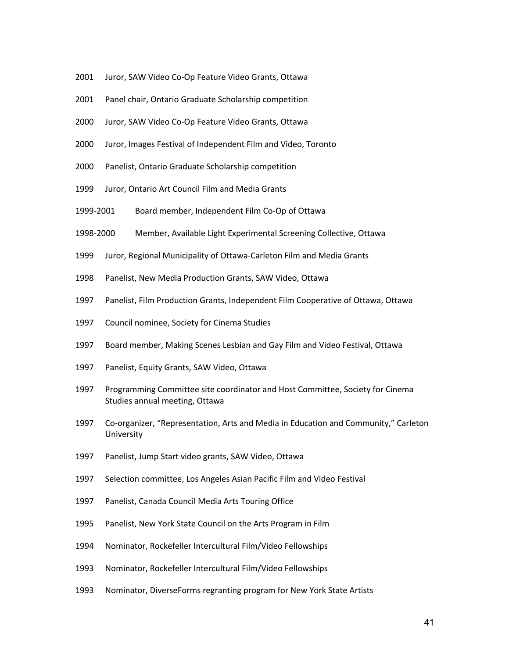- Juror, SAW Video Co-Op Feature Video Grants, Ottawa
- Panel chair, Ontario Graduate Scholarship competition
- Juror, SAW Video Co-Op Feature Video Grants, Ottawa
- Juror, Images Festival of Independent Film and Video, Toronto
- Panelist, Ontario Graduate Scholarship competition
- Juror, Ontario Art Council Film and Media Grants
- 1999-2001 Board member, Independent Film Co-Op of Ottawa
- 1998-2000 Member, Available Light Experimental Screening Collective, Ottawa
- Juror, Regional Municipality of Ottawa-Carleton Film and Media Grants
- Panelist, New Media Production Grants, SAW Video, Ottawa
- Panelist, Film Production Grants, Independent Film Cooperative of Ottawa, Ottawa
- Council nominee, Society for Cinema Studies
- 1997 Board member, Making Scenes Lesbian and Gay Film and Video Festival, Ottawa
- Panelist, Equity Grants, SAW Video, Ottawa
- Programming Committee site coordinator and Host Committee, Society for Cinema Studies annual meeting, Ottawa
- Co-organizer, "Representation, Arts and Media in Education and Community," Carleton University
- Panelist, Jump Start video grants, SAW Video, Ottawa
- Selection committee, Los Angeles Asian Pacific Film and Video Festival
- Panelist, Canada Council Media Arts Touring Office
- Panelist, New York State Council on the Arts Program in Film
- Nominator, Rockefeller Intercultural Film/Video Fellowships
- Nominator, Rockefeller Intercultural Film/Video Fellowships
- Nominator, DiverseForms regranting program for New York State Artists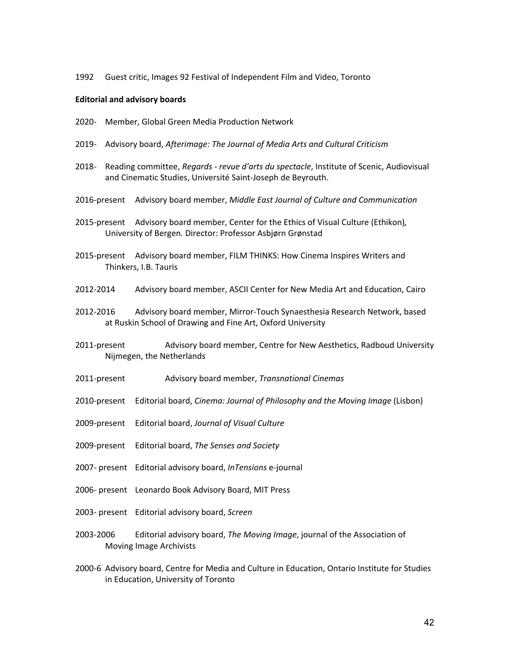1992 Guest critic, Images 92 Festival of Independent Film and Video, Toronto

#### **Editorial and advisory boards**

- 2020- Member, Global Green Media Production Network
- 2019- Advisory board, *Afterimage: The Journal of Media Arts and Cultural Criticism*
- 2018- Reading committee, *Regards - revue d'arts du spectacle*, Institute of Scenic, Audiovisual and Cinematic Studies, Université Saint-Joseph de Beyrouth.
- 2016-present Advisory board member, *Middle East Journal of Culture and Communication*
- 2015-present Advisory board member, Center for the Ethics of Visual Culture (Ethikon)*,*  University of Bergen*.* Director: Professor Asbjørn Grønstad
- 2015-present Advisory board member, FILM THINKS: How Cinema Inspires Writers and Thinkers, I.B. Tauris
- 2012-2014 Advisory board member, ASCII Center for New Media Art and Education, Cairo
- 2012-2016 Advisory board member, Mirror-Touch Synaesthesia Research Network, based at Ruskin School of Drawing and Fine Art, Oxford University
- 2011-present Advisory board member, Centre for New Aesthetics, Radboud University Nijmegen, the Netherlands
- 2011-present Advisory board member, *Transnational Cinemas*
- 2010-present Editorial board, *Cinema: Journal of Philosophy and the Moving Image* (Lisbon)
- 2009-present Editorial board, *Journal of Visual Culture*
- 2009-present Editorial board, *The Senses and Society*
- 2007- present Editorial advisory board, *InTensions* e-journal
- 2006- present Leonardo Book Advisory Board, MIT Press
- 2003- present Editorial advisory board, *Screen*
- 2003-2006 Editorial advisory board, *The Moving Image*, journal of the Association of Moving Image Archivists
- 2000-6 Advisory board, Centre for Media and Culture in Education, Ontario Institute for Studies in Education, University of Toronto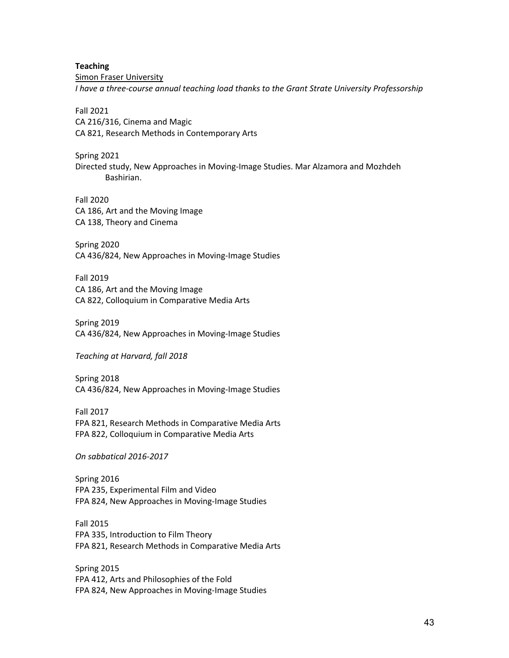**Teaching** Simon Fraser University *I have a three-course annual teaching load thanks to the Grant Strate University Professorship*

Fall 2021 CA 216/316, Cinema and Magic CA 821, Research Methods in Contemporary Arts

Spring 2021 Directed study, New Approaches in Moving-Image Studies. Mar Alzamora and Mozhdeh Bashirian.

Fall 2020 CA 186, Art and the Moving Image CA 138, Theory and Cinema

Spring 2020 CA 436/824, New Approaches in Moving-Image Studies

Fall 2019 CA 186, Art and the Moving Image CA 822, Colloquium in Comparative Media Arts

Spring 2019 CA 436/824, New Approaches in Moving-Image Studies

*Teaching at Harvard, fall 2018*

Spring 2018 CA 436/824, New Approaches in Moving-Image Studies

Fall 2017 FPA 821, Research Methods in Comparative Media Arts FPA 822, Colloquium in Comparative Media Arts

*On sabbatical 2016-2017*

Spring 2016 FPA 235, Experimental Film and Video FPA 824, New Approaches in Moving-Image Studies

Fall 2015 FPA 335, Introduction to Film Theory FPA 821, Research Methods in Comparative Media Arts

Spring 2015 FPA 412, Arts and Philosophies of the Fold FPA 824, New Approaches in Moving-Image Studies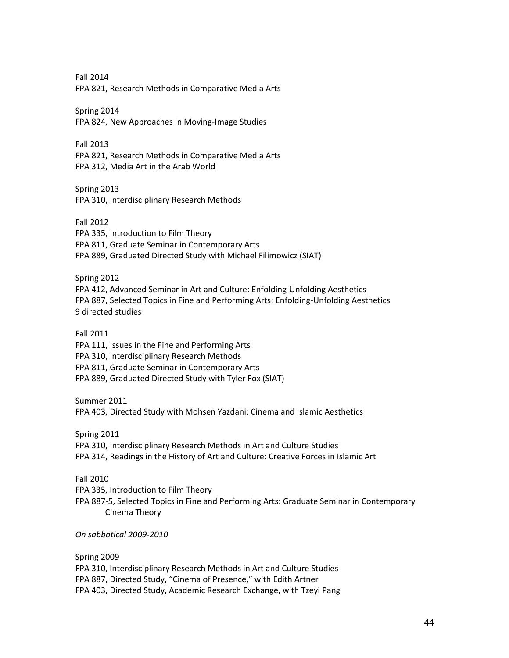Fall 2014 FPA 821, Research Methods in Comparative Media Arts

Spring 2014 FPA 824, New Approaches in Moving-Image Studies

Fall 2013 FPA 821, Research Methods in Comparative Media Arts FPA 312, Media Art in the Arab World

Spring 2013 FPA 310, Interdisciplinary Research Methods

Fall 2012 FPA 335, Introduction to Film Theory FPA 811, Graduate Seminar in Contemporary Arts FPA 889, Graduated Directed Study with Michael Filimowicz (SIAT)

Spring 2012 FPA 412, Advanced Seminar in Art and Culture: Enfolding-Unfolding Aesthetics FPA 887, Selected Topics in Fine and Performing Arts: Enfolding-Unfolding Aesthetics 9 directed studies

Fall 2011 FPA 111, Issues in the Fine and Performing Arts FPA 310, Interdisciplinary Research Methods FPA 811, Graduate Seminar in Contemporary Arts FPA 889, Graduated Directed Study with Tyler Fox (SIAT)

Summer 2011 FPA 403, Directed Study with Mohsen Yazdani: Cinema and Islamic Aesthetics

Spring 2011 FPA 310, Interdisciplinary Research Methods in Art and Culture Studies FPA 314, Readings in the History of Art and Culture: Creative Forces in Islamic Art

Fall 2010 FPA 335, Introduction to Film Theory FPA 887-5, Selected Topics in Fine and Performing Arts: Graduate Seminar in Contemporary Cinema Theory

*On sabbatical 2009-2010*

Spring 2009 FPA 310, Interdisciplinary Research Methods in Art and Culture Studies FPA 887, Directed Study, "Cinema of Presence," with Edith Artner FPA 403, Directed Study, Academic Research Exchange, with Tzeyi Pang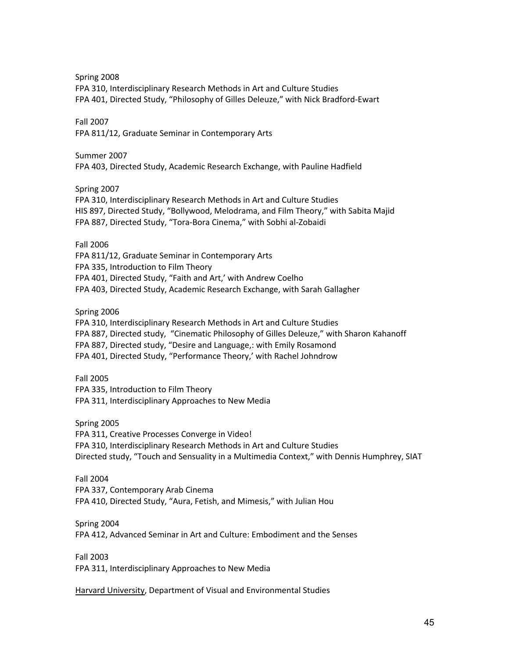Spring 2008

FPA 310, Interdisciplinary Research Methods in Art and Culture Studies FPA 401, Directed Study, "Philosophy of Gilles Deleuze," with Nick Bradford-Ewart

# Fall 2007

FPA 811/12, Graduate Seminar in Contemporary Arts

# Summer 2007

FPA 403, Directed Study, Academic Research Exchange, with Pauline Hadfield

# Spring 2007

FPA 310, Interdisciplinary Research Methods in Art and Culture Studies HIS 897, Directed Study, "Bollywood, Melodrama, and Film Theory," with Sabita Majid FPA 887, Directed Study, "Tora-Bora Cinema," with Sobhi al-Zobaidi

Fall 2006

FPA 811/12, Graduate Seminar in Contemporary Arts FPA 335, Introduction to Film Theory FPA 401, Directed Study, "Faith and Art,' with Andrew Coelho FPA 403, Directed Study, Academic Research Exchange, with Sarah Gallagher

Spring 2006

FPA 310, Interdisciplinary Research Methods in Art and Culture Studies FPA 887, Directed study, "Cinematic Philosophy of Gilles Deleuze," with Sharon Kahanoff FPA 887, Directed study, "Desire and Language,: with Emily Rosamond FPA 401, Directed Study, "Performance Theory,' with Rachel Johndrow

Fall 2005 FPA 335, Introduction to Film Theory

FPA 311, Interdisciplinary Approaches to New Media

Spring 2005

FPA 311, Creative Processes Converge in Video! FPA 310, Interdisciplinary Research Methods in Art and Culture Studies Directed study, "Touch and Sensuality in a Multimedia Context," with Dennis Humphrey, SIAT

# Fall 2004 FPA 337, Contemporary Arab Cinema FPA 410, Directed Study, "Aura, Fetish, and Mimesis," with Julian Hou

Spring 2004

FPA 412, Advanced Seminar in Art and Culture: Embodiment and the Senses

Fall 2003

FPA 311, Interdisciplinary Approaches to New Media

Harvard University, Department of Visual and Environmental Studies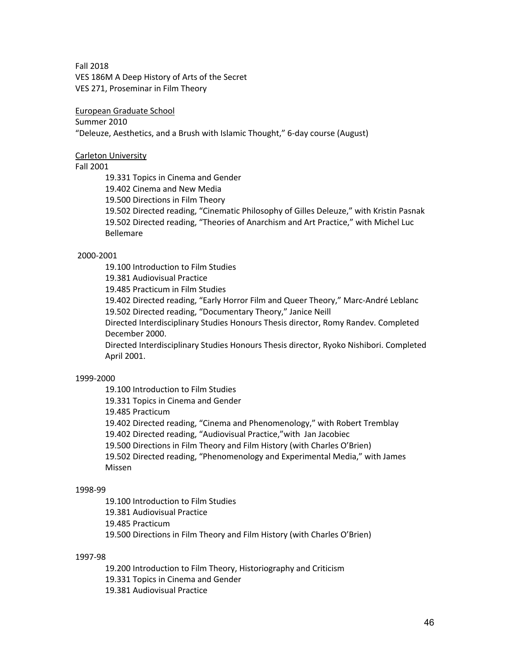Fall 2018

VES 186M A Deep History of Arts of the Secret VES 271, Proseminar in Film Theory

European Graduate School

Summer 2010

"Deleuze, Aesthetics, and a Brush with Islamic Thought," 6-day course (August)

# Carleton University

Fall 2001

19.331 Topics in Cinema and Gender

19.402 Cinema and New Media

19.500 Directions in Film Theory

19.502 Directed reading, "Cinematic Philosophy of Gilles Deleuze," with Kristin Pasnak 19.502 Directed reading, "Theories of Anarchism and Art Practice," with Michel Luc Bellemare

# 2000-2001

19.100 Introduction to Film Studies

19.381 Audiovisual Practice

19.485 Practicum in Film Studies

19.402 Directed reading, "Early Horror Film and Queer Theory," Marc-André Leblanc 19.502 Directed reading, "Documentary Theory," Janice Neill

Directed Interdisciplinary Studies Honours Thesis director, Romy Randev. Completed December 2000.

Directed Interdisciplinary Studies Honours Thesis director, Ryoko Nishibori. Completed April 2001.

# 1999-2000

19.100 Introduction to Film Studies

19.331 Topics in Cinema and Gender

19.485 Practicum

19.402 Directed reading, "Cinema and Phenomenology," with Robert Tremblay

19.402 Directed reading, "Audiovisual Practice,"with Jan Jacobiec

19.500 Directions in Film Theory and Film History (with Charles O'Brien)

19.502 Directed reading, "Phenomenology and Experimental Media," with James Missen

# 1998-99

19.100 Introduction to Film Studies

19.381 Audiovisual Practice

19.485 Practicum

19.500 Directions in Film Theory and Film History (with Charles O'Brien)

# 1997-98

19.200 Introduction to Film Theory, Historiography and Criticism

19.331 Topics in Cinema and Gender

19.381 Audiovisual Practice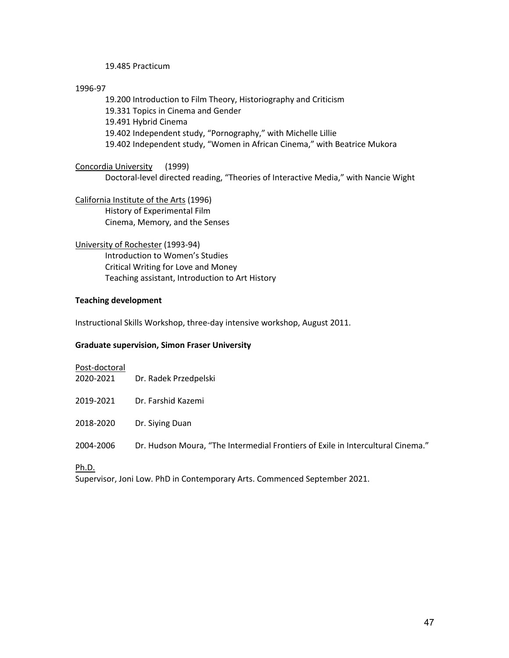## 19.485 Practicum

### 1996-97

19.200 Introduction to Film Theory, Historiography and Criticism 19.331 Topics in Cinema and Gender 19.491 Hybrid Cinema 19.402 Independent study, "Pornography," with Michelle Lillie 19.402 Independent study, "Women in African Cinema," with Beatrice Mukora

Concordia University (1999) Doctoral-level directed reading, "Theories of Interactive Media," with Nancie Wight

California Institute of the Arts (1996) History of Experimental Film Cinema, Memory, and the Senses

University of Rochester (1993-94) Introduction to Women's Studies Critical Writing for Love and Money Teaching assistant, Introduction to Art History

## **Teaching development**

Instructional Skills Workshop, three-day intensive workshop, August 2011.

### **Graduate supervision, Simon Fraser University**

| Post-doctoral |                                                                                 |
|---------------|---------------------------------------------------------------------------------|
| 2020-2021     | Dr. Radek Przedpelski                                                           |
| 2019-2021     | Dr. Farshid Kazemi                                                              |
|               |                                                                                 |
| 2018-2020     | Dr. Siying Duan                                                                 |
| 2004-2006     | Dr. Hudson Moura, "The Intermedial Frontiers of Exile in Intercultural Cinema." |
|               |                                                                                 |

## Ph.D.

Supervisor, Joni Low. PhD in Contemporary Arts. Commenced September 2021.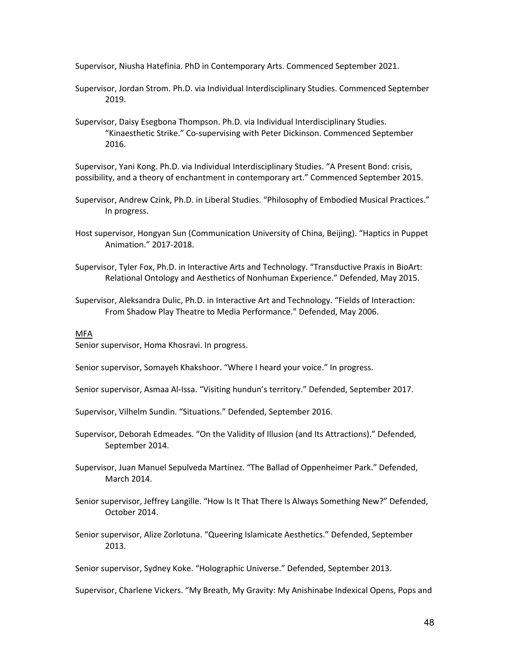Supervisor, Niusha Hatefinia. PhD in Contemporary Arts. Commenced September 2021.

- Supervisor, Jordan Strom. Ph.D. via Individual Interdisciplinary Studies. Commenced September 2019.
- Supervisor, Daisy Esegbona Thompson. Ph.D. via Individual Interdisciplinary Studies. "Kinaesthetic Strike." Co-supervising with Peter Dickinson. Commenced September 2016.

Supervisor, Yani Kong. Ph.D. via Individual Interdisciplinary Studies. "A Present Bond: crisis, possibility, and a theory of enchantment in contemporary art." Commenced September 2015.

- Supervisor, Andrew Czink, Ph.D. in Liberal Studies. "Philosophy of Embodied Musical Practices." In progress.
- Host supervisor, Hongyan Sun (Communication University of China, Beijing). "Haptics in Puppet Animation." 2017-2018.
- Supervisor, Tyler Fox, Ph.D. in Interactive Arts and Technology. "Transductive Praxis in BioArt: Relational Ontology and Aesthetics of Nonhuman Experience." Defended, May 2015.
- Supervisor, Aleksandra Dulic, Ph.D. in Interactive Art and Technology. "Fields of Interaction: From Shadow Play Theatre to Media Performance." Defended, May 2006.

#### MFA

Senior supervisor, Homa Khosravi. In progress.

Senior supervisor, Somayeh Khakshoor. "Where I heard your voice." In progress.

Senior supervisor, Asmaa Al-Issa. "Visiting hundun's territory." Defended, September 2017.

Supervisor, Vilhelm Sundin. "Situations." Defended, September 2016.

- Supervisor, Deborah Edmeades. "On the Validity of Illusion (and Its Attractions)." Defended, September 2014.
- Supervisor, Juan Manuel Sepulveda Martínez. "The Ballad of Oppenheimer Park." Defended, March 2014.

Senior supervisor, Jeffrey Langille. "How Is It That There Is Always Something New?" Defended, October 2014.

Senior supervisor, Alize Zorlotuna. "Queering Islamicate Aesthetics." Defended, September 2013.

Senior supervisor, Sydney Koke. "Holographic Universe." Defended, September 2013.

Supervisor, Charlene Vickers. "My Breath, My Gravity: My Anishinabe Indexical Opens, Pops and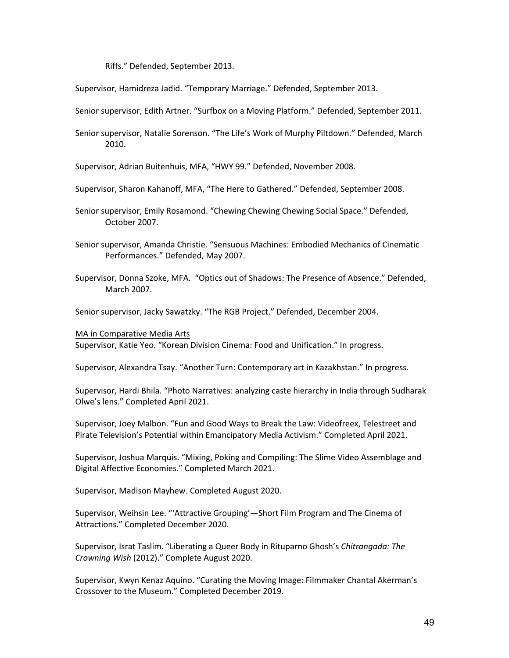Riffs." Defended, September 2013.

Supervisor, Hamidreza Jadid. "Temporary Marriage." Defended, September 2013.

Senior supervisor, Edith Artner. "Surfbox on a Moving Platform." Defended, September 2011.

Senior supervisor, Natalie Sorenson. "The Life's Work of Murphy Piltdown." Defended, March 2010.

Supervisor, Adrian Buitenhuis, MFA, "HWY 99." Defended, November 2008.

- Supervisor, Sharon Kahanoff, MFA, "The Here to Gathered." Defended, September 2008.
- Senior supervisor, Emily Rosamond. "Chewing Chewing Chewing Social Space." Defended, October 2007.
- Senior supervisor, Amanda Christie. "Sensuous Machines: Embodied Mechanics of Cinematic Performances." Defended, May 2007.
- Supervisor, Donna Szoke, MFA. "Optics out of Shadows: The Presence of Absence." Defended, March 2007.

Senior supervisor, Jacky Sawatzky. "The RGB Project." Defended, December 2004.

MA in Comparative Media Arts Supervisor, Katie Yeo. "Korean Division Cinema: Food and Unification." In progress.

Supervisor, Alexandra Tsay. "Another Turn: Contemporary art in Kazakhstan." In progress.

Supervisor, Hardi Bhila. "Photo Narratives: analyzing caste hierarchy in India through Sudharak Olwe's lens." Completed April 2021.

Supervisor, Joey Malbon. "Fun and Good Ways to Break the Law: Videofreex, Telestreet and Pirate Television's Potential within Emancipatory Media Activism." Completed April 2021.

Supervisor, Joshua Marquis. "Mixing, Poking and Compiling: The Slime Video Assemblage and Digital Affective Economies." Completed March 2021.

Supervisor, Madison Mayhew. Completed August 2020.

Supervisor, Weihsin Lee. "'Attractive Grouping'—Short Film Program and The Cinema of Attractions." Completed December 2020.

Supervisor, Israt Taslim. "Liberating a Queer Body in Rituparno Ghosh's *Chitrangada: The Crowning Wish* (2012)." Complete August 2020.

Supervisor, Kwyn Kenaz Aquino. "Curating the Moving Image: Filmmaker Chantal Akerman's Crossover to the Museum." Completed December 2019.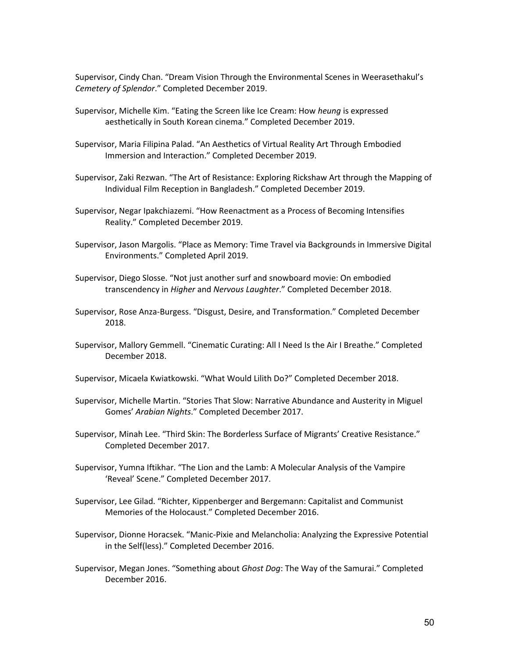Supervisor, Cindy Chan. "Dream Vision Through the Environmental Scenes in Weerasethakul's *Cemetery of Splendor*." Completed December 2019.

- Supervisor, Michelle Kim. "Eating the Screen like Ice Cream: How *heung* is expressed aesthetically in South Korean cinema." Completed December 2019.
- Supervisor, Maria Filipina Palad. "An Aesthetics of Virtual Reality Art Through Embodied Immersion and Interaction." Completed December 2019.
- Supervisor, Zaki Rezwan. "The Art of Resistance: Exploring Rickshaw Art through the Mapping of Individual Film Reception in Bangladesh." Completed December 2019.
- Supervisor, Negar Ipakchiazemi. "How Reenactment as a Process of Becoming Intensifies Reality." Completed December 2019.
- Supervisor, Jason Margolis. "Place as Memory: Time Travel via Backgrounds in Immersive Digital Environments." Completed April 2019.
- Supervisor, Diego Slosse. "Not just another surf and snowboard movie: On embodied transcendency in *Higher* and *Nervous Laughter*." Completed December 2018.
- Supervisor, Rose Anza-Burgess. "Disgust, Desire, and Transformation." Completed December 2018.
- Supervisor, Mallory Gemmell. "Cinematic Curating: All I Need Is the Air I Breathe." Completed December 2018.
- Supervisor, Micaela Kwiatkowski. "What Would Lilith Do?" Completed December 2018.
- Supervisor, Michelle Martin. "Stories That Slow: Narrative Abundance and Austerity in Miguel Gomes' *Arabian Nights*." Completed December 2017.
- Supervisor, Minah Lee. "Third Skin: The Borderless Surface of Migrants' Creative Resistance." Completed December 2017.
- Supervisor, Yumna Iftikhar. "The Lion and the Lamb: A Molecular Analysis of the Vampire 'Reveal' Scene." Completed December 2017.
- Supervisor, Lee Gilad. "Richter, Kippenberger and Bergemann: Capitalist and Communist Memories of the Holocaust." Completed December 2016.
- Supervisor, Dionne Horacsek. "Manic-Pixie and Melancholia: Analyzing the Expressive Potential in the Self(less)." Completed December 2016.
- Supervisor, Megan Jones. "Something about *Ghost Dog*: The Way of the Samurai." Completed December 2016.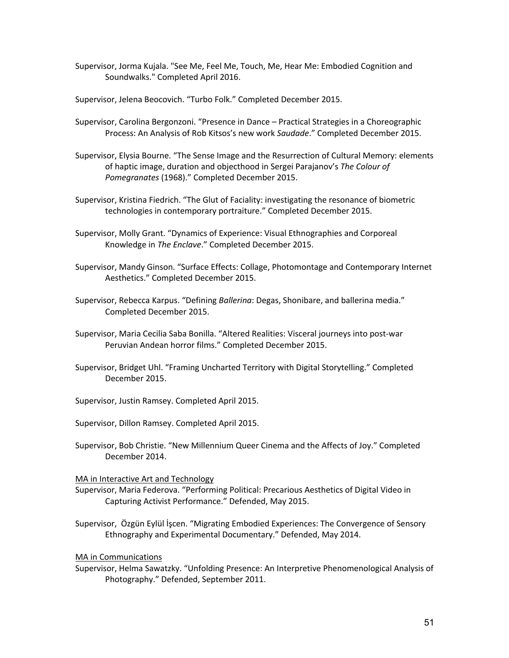- Supervisor, Jorma Kujala. "See Me, Feel Me, Touch, Me, Hear Me: Embodied Cognition and Soundwalks." Completed April 2016.
- Supervisor, Jelena Beocovich. "Turbo Folk." Completed December 2015.
- Supervisor, Carolina Bergonzoni. "Presence in Dance Practical Strategies in a Choreographic Process: An Analysis of Rob Kitsos's new work *Saudade*." Completed December 2015.
- Supervisor, Elysia Bourne. "The Sense Image and the Resurrection of Cultural Memory: elements of haptic image, duration and objecthood in Sergei Parajanov's *The Colour of Pomegranates* (1968)." Completed December 2015.
- Supervisor, Kristina Fiedrich. "The Glut of Faciality: investigating the resonance of biometric technologies in contemporary portraiture." Completed December 2015.
- Supervisor, Molly Grant. "Dynamics of Experience: Visual Ethnographies and Corporeal Knowledge in *The Enclave*." Completed December 2015.
- Supervisor, Mandy Ginson. "Surface Effects: Collage, Photomontage and Contemporary Internet Aesthetics." Completed December 2015.
- Supervisor, Rebecca Karpus. "Defining *Ballerina*: Degas, Shonibare, and ballerina media." Completed December 2015.
- Supervisor, Maria Cecilia Saba Bonilla. "Altered Realities: Visceral journeys into post-war Peruvian Andean horror films." Completed December 2015.
- Supervisor, Bridget Uhl. "Framing Uncharted Territory with Digital Storytelling." Completed December 2015.
- Supervisor, Justin Ramsey. Completed April 2015.
- Supervisor, Dillon Ramsey. Completed April 2015.
- Supervisor, Bob Christie. "New Millennium Queer Cinema and the Affects of Joy." Completed December 2014.

MA in Interactive Art and Technology

- Supervisor, Maria Federova. "Performing Political: Precarious Aesthetics of Digital Video in Capturing Activist Performance." Defended, May 2015.
- Supervisor, Özgün Eylül İşcen. "Migrating Embodied Experiences: The Convergence of Sensory Ethnography and Experimental Documentary." Defended, May 2014.

MA in Communications

Supervisor, Helma Sawatzky. "Unfolding Presence: An Interpretive Phenomenological Analysis of Photography." Defended, September 2011.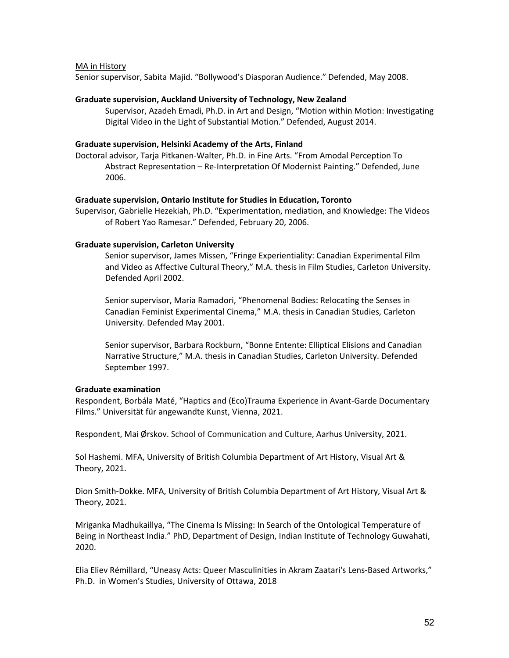### MA in History

Senior supervisor, Sabita Majid. "Bollywood's Diasporan Audience." Defended, May 2008.

#### **Graduate supervision, Auckland University of Technology, New Zealand**

Supervisor, Azadeh Emadi, Ph.D. in Art and Design, "Motion within Motion: Investigating Digital Video in the Light of Substantial Motion." Defended, August 2014.

#### **Graduate supervision, Helsinki Academy of the Arts, Finland**

Doctoral advisor, Tarja Pitkanen-Walter, Ph.D. in Fine Arts. "From Amodal Perception To Abstract Representation – Re-Interpretation Of Modernist Painting." Defended, June 2006.

### **Graduate supervision, Ontario Institute for Studies in Education, Toronto**

Supervisor, Gabrielle Hezekiah, Ph.D. "Experimentation, mediation, and Knowledge: The Videos of Robert Yao Ramesar." Defended, February 20, 2006.

#### **Graduate supervision, Carleton University**

Senior supervisor, James Missen, "Fringe Experientiality: Canadian Experimental Film and Video as Affective Cultural Theory," M.A. thesis in Film Studies, Carleton University. Defended April 2002.

Senior supervisor, Maria Ramadori, "Phenomenal Bodies: Relocating the Senses in Canadian Feminist Experimental Cinema," M.A. thesis in Canadian Studies, Carleton University. Defended May 2001.

Senior supervisor, Barbara Rockburn, "Bonne Entente: Elliptical Elisions and Canadian Narrative Structure," M.A. thesis in Canadian Studies, Carleton University. Defended September 1997.

#### **Graduate examination**

Respondent, Borbála Maté, "Haptics and (Eco)Trauma Experience in Avant-Garde Documentary Films." Universität für angewandte Kunst, Vienna, 2021.

Respondent, Mai Ørskov. School of Communication and Culture, Aarhus University, 2021.

Sol Hashemi. MFA, University of British Columbia Department of Art History, Visual Art & Theory, 2021.

Dion Smith-Dokke. MFA, University of British Columbia Department of Art History, Visual Art & Theory, 2021.

Mriganka Madhukaillya, "The Cinema Is Missing: In Search of the Ontological Temperature of Being in Northeast India." PhD, Department of Design, Indian Institute of Technology Guwahati, 2020.

Elia Eliev Rémillard, "Uneasy Acts: Queer Masculinities in Akram Zaatari's Lens-Based Artworks," Ph.D. in Women's Studies, University of Ottawa, 2018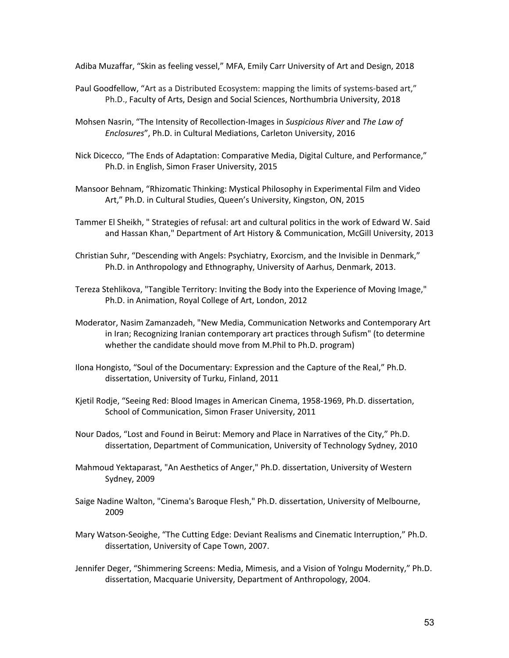Adiba Muzaffar, "Skin as feeling vessel," MFA, Emily Carr University of Art and Design, 2018

- Paul Goodfellow, "Art as a Distributed Ecosystem: mapping the limits of systems-based art," Ph.D., Faculty of Arts, Design and Social Sciences, Northumbria University, 2018
- Mohsen Nasrin, "The Intensity of Recollection-Images in *Suspicious River* and *The Law of Enclosures*", Ph.D. in Cultural Mediations, Carleton University, 2016
- Nick Dicecco, "The Ends of Adaptation: Comparative Media, Digital Culture, and Performance," Ph.D. in English, Simon Fraser University, 2015
- Mansoor Behnam, "Rhizomatic Thinking: Mystical Philosophy in Experimental Film and Video Art," Ph.D. in Cultural Studies, Queen's University, Kingston, ON, 2015
- Tammer El Sheikh, " Strategies of refusal: art and cultural politics in the work of Edward W. Said and Hassan Khan," Department of Art History & Communication, McGill University, 2013
- Christian Suhr, "Descending with Angels: Psychiatry, Exorcism, and the Invisible in Denmark," Ph.D. in Anthropology and Ethnography, University of Aarhus, Denmark, 2013.
- Tereza Stehlikova, "Tangible Territory: Inviting the Body into the Experience of Moving Image," Ph.D. in Animation, Royal College of Art, London, 2012
- Moderator, Nasim Zamanzadeh, "New Media, Communication Networks and Contemporary Art in Iran; Recognizing Iranian contemporary art practices through Sufism" (to determine whether the candidate should move from M.Phil to Ph.D. program)
- Ilona Hongisto, "Soul of the Documentary: Expression and the Capture of the Real," Ph.D. dissertation, University of Turku, Finland, 2011
- Kjetil Rodje, "Seeing Red: Blood Images in American Cinema, 1958-1969, Ph.D. dissertation, School of Communication, Simon Fraser University, 2011
- Nour Dados, "Lost and Found in Beirut: Memory and Place in Narratives of the City," Ph.D. dissertation, Department of Communication, University of Technology Sydney, 2010
- Mahmoud Yektaparast, "An Aesthetics of Anger," Ph.D. dissertation, University of Western Sydney, 2009
- Saige Nadine Walton, "Cinema's Baroque Flesh," Ph.D. dissertation, University of Melbourne, 2009
- Mary Watson-Seoighe, "The Cutting Edge: Deviant Realisms and Cinematic Interruption," Ph.D. dissertation, University of Cape Town, 2007.
- Jennifer Deger, "Shimmering Screens: Media, Mimesis, and a Vision of Yolngu Modernity," Ph.D. dissertation, Macquarie University, Department of Anthropology, 2004.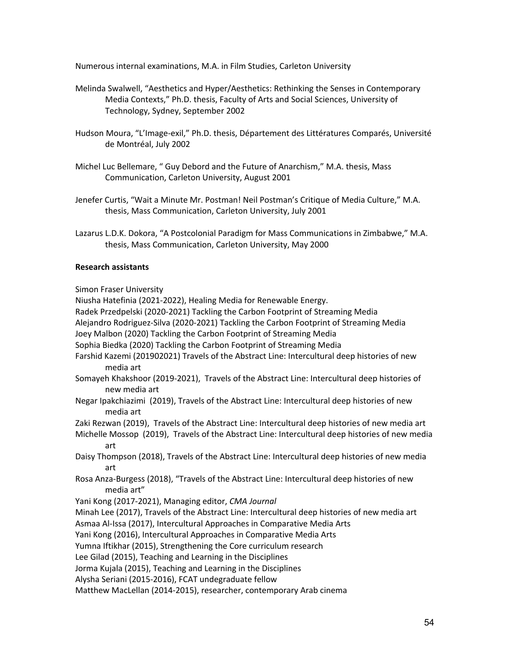Numerous internal examinations, M.A. in Film Studies, Carleton University

- Melinda Swalwell, "Aesthetics and Hyper/Aesthetics: Rethinking the Senses in Contemporary Media Contexts," Ph.D. thesis, Faculty of Arts and Social Sciences, University of Technology, Sydney, September 2002
- Hudson Moura, "L'Image-exil," Ph.D. thesis, Département des Littératures Comparés, Université de Montréal, July 2002
- Michel Luc Bellemare, " Guy Debord and the Future of Anarchism," M.A. thesis, Mass Communication, Carleton University, August 2001
- Jenefer Curtis, "Wait a Minute Mr. Postman! Neil Postman's Critique of Media Culture," M.A. thesis, Mass Communication, Carleton University, July 2001
- Lazarus L.D.K. Dokora, "A Postcolonial Paradigm for Mass Communications in Zimbabwe," M.A. thesis, Mass Communication, Carleton University, May 2000

## **Research assistants**

Simon Fraser University

Niusha Hatefinia (2021-2022), Healing Media for Renewable Energy.

Radek Przedpelski (2020-2021) Tackling the Carbon Footprint of Streaming Media

Alejandro Rodriguez-Silva (2020-2021) Tackling the Carbon Footprint of Streaming Media

Joey Malbon (2020) Tackling the Carbon Footprint of Streaming Media

Sophia Biedka (2020) Tackling the Carbon Footprint of Streaming Media

- Farshid Kazemi (201902021) Travels of the Abstract Line: Intercultural deep histories of new media art
- Somayeh Khakshoor (2019-2021), Travels of the Abstract Line: Intercultural deep histories of new media art
- Negar Ipakchiazimi (2019), Travels of the Abstract Line: Intercultural deep histories of new media art

Zaki Rezwan (2019), Travels of the Abstract Line: Intercultural deep histories of new media art

Michelle Mossop (2019), Travels of the Abstract Line: Intercultural deep histories of new media art

Daisy Thompson (2018), Travels of the Abstract Line: Intercultural deep histories of new media art

Rosa Anza-Burgess (2018), "Travels of the Abstract Line: Intercultural deep histories of new media art"

Yani Kong (2017-2021), Managing editor, *CMA Journal*

Minah Lee (2017), Travels of the Abstract Line: Intercultural deep histories of new media art

Asmaa Al-Issa (2017), Intercultural Approaches in Comparative Media Arts

Yani Kong (2016), Intercultural Approaches in Comparative Media Arts

Yumna Iftikhar (2015), Strengthening the Core curriculum research

Lee Gilad (2015), Teaching and Learning in the Disciplines

Jorma Kujala (2015), Teaching and Learning in the Disciplines

Alysha Seriani (2015-2016), FCAT undegraduate fellow

Matthew MacLellan (2014-2015), researcher, contemporary Arab cinema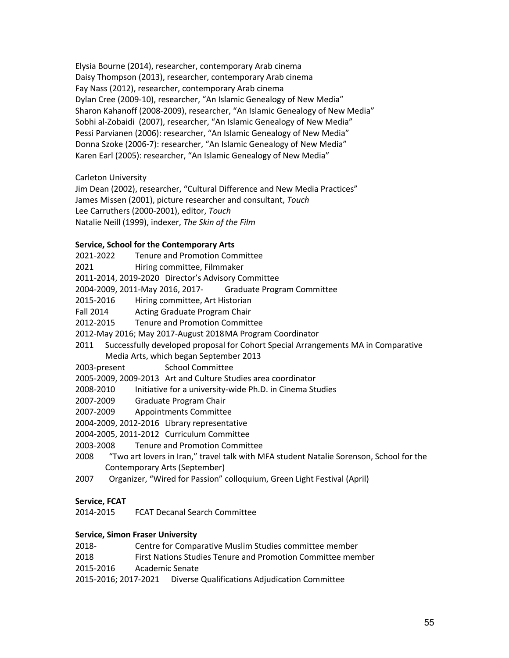Elysia Bourne (2014), researcher, contemporary Arab cinema Daisy Thompson (2013), researcher, contemporary Arab cinema Fay Nass (2012), researcher, contemporary Arab cinema Dylan Cree (2009-10), researcher, "An Islamic Genealogy of New Media" Sharon Kahanoff (2008-2009), researcher, "An Islamic Genealogy of New Media" Sobhi al-Zobaidi (2007), researcher, "An Islamic Genealogy of New Media" Pessi Parvianen (2006): researcher, "An Islamic Genealogy of New Media" Donna Szoke (2006-7): researcher, "An Islamic Genealogy of New Media" Karen Earl (2005): researcher, "An Islamic Genealogy of New Media"

Carleton University

Jim Dean (2002), researcher, "Cultural Difference and New Media Practices" James Missen (2001), picture researcher and consultant, *Touch* Lee Carruthers (2000-2001), editor, *Touch* Natalie Neill (1999), indexer, *The Skin of the Film*

# **Service, School for the Contemporary Arts**

2021-2022 Tenure and Promotion Committee

- 2021 Hiring committee, Filmmaker
- 2011-2014, 2019-2020 Director's Advisory Committee
- 2004-2009, 2011-May 2016, 2017- Graduate Program Committee
- 2015-2016 Hiring committee, Art Historian
- Fall 2014 Acting Graduate Program Chair
- 2012-2015 Tenure and Promotion Committee
- 2012-May 2016; May 2017-August 2018MA Program Coordinator
- 2011 Successfully developed proposal for Cohort Special Arrangements MA in Comparative Media Arts, which began September 2013
- 2003-present School Committee

2005-2009, 2009-2013 Art and Culture Studies area coordinator

- 2008-2010 Initiative for a university-wide Ph.D. in Cinema Studies
- 2007-2009 Graduate Program Chair
- 2007-2009 Appointments Committee
- 2004-2009, 2012-2016 Library representative
- 2004-2005, 2011-2012 Curriculum Committee
- 2003-2008 Tenure and Promotion Committee
- 2008 "Two art lovers in Iran," travel talk with MFA student Natalie Sorenson, School for the Contemporary Arts (September)
- 2007 Organizer, "Wired for Passion" colloquium, Green Light Festival (April)

# **Service, FCAT**

2014-2015 FCAT Decanal Search Committee

# **Service, Simon Fraser University**

- 2018- Centre for Comparative Muslim Studies committee member
- 2018 First Nations Studies Tenure and Promotion Committee member
- 2015-2016 Academic Senate
- 2015-2016; 2017-2021 Diverse Qualifications Adjudication Committee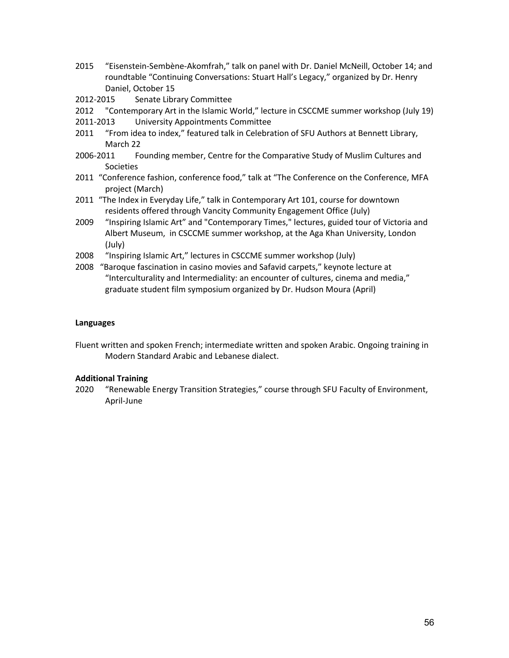- 2015 "Eisenstein-Sembène-Akomfrah," talk on panel with Dr. Daniel McNeill, October 14; and roundtable "Continuing Conversations: Stuart Hall's Legacy," organized by Dr. Henry Daniel, October 15
- 2012-2015 Senate Library Committee
- 2012 "Contemporary Art in the Islamic World," lecture in CSCCME summer workshop (July 19)
- 2011-2013 University Appointments Committee
- 2011 "From idea to index," featured talk in Celebration of SFU Authors at Bennett Library, March 22
- 2006-2011 Founding member, Centre for the Comparative Study of Muslim Cultures and Societies
- 2011 "Conference fashion, conference food," talk at "The Conference on the Conference, MFA project (March)
- 2011 "The Index in Everyday Life," talk in Contemporary Art 101, course for downtown residents offered through Vancity Community Engagement Office (July)
- 2009 "Inspiring Islamic Art" and "Contemporary Times," lectures, guided tour of Victoria and Albert Museum, in CSCCME summer workshop, at the Aga Khan University, London (July)
- 2008 "Inspiring Islamic Art," lectures in CSCCME summer workshop (July)
- 2008 "Baroque fascination in casino movies and Safavid carpets," keynote lecture at "Interculturality and Intermediality: an encounter of cultures, cinema and media," graduate student film symposium organized by Dr. Hudson Moura (April)

## **Languages**

Fluent written and spoken French; intermediate written and spoken Arabic. Ongoing training in Modern Standard Arabic and Lebanese dialect.

### **Additional Training**

2020 "Renewable Energy Transition Strategies," course through SFU Faculty of Environment, April-June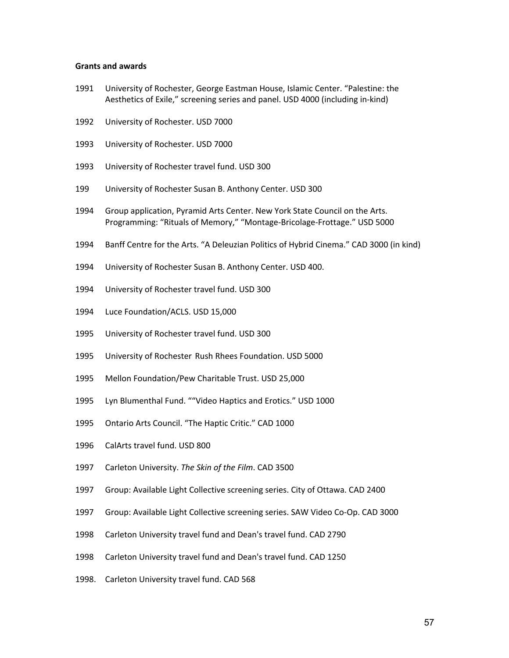#### **Grants and awards**

- University of Rochester, George Eastman House, Islamic Center. "Palestine: the Aesthetics of Exile," screening series and panel. USD 4000 (including in-kind)
- University of Rochester. USD 7000
- University of Rochester. USD 7000
- University of Rochester travel fund. USD 300
- University of Rochester Susan B. Anthony Center. USD 300
- 1994 Group application, Pyramid Arts Center. New York State Council on the Arts. Programming: "Rituals of Memory," "Montage-Bricolage-Frottage." USD 5000
- Banff Centre for the Arts. "A Deleuzian Politics of Hybrid Cinema." CAD 3000 (in kind)
- University of Rochester Susan B. Anthony Center. USD 400.
- University of Rochester travel fund. USD 300
- Luce Foundation/ACLS. USD 15,000
- University of Rochester travel fund. USD 300
- University of Rochester Rush Rhees Foundation. USD 5000
- Mellon Foundation/Pew Charitable Trust. USD 25,000
- Lyn Blumenthal Fund. ""Video Haptics and Erotics." USD 1000
- Ontario Arts Council. "The Haptic Critic." CAD 1000
- CalArts travel fund. USD 800
- Carleton University. *The Skin of the Film*. CAD 3500
- 1997 Group: Available Light Collective screening series. City of Ottawa. CAD 2400
- 1997 Group: Available Light Collective screening series. SAW Video Co-Op. CAD 3000
- Carleton University travel fund and Dean's travel fund. CAD 2790
- Carleton University travel fund and Dean's travel fund. CAD 1250
- 1998. Carleton University travel fund. CAD 568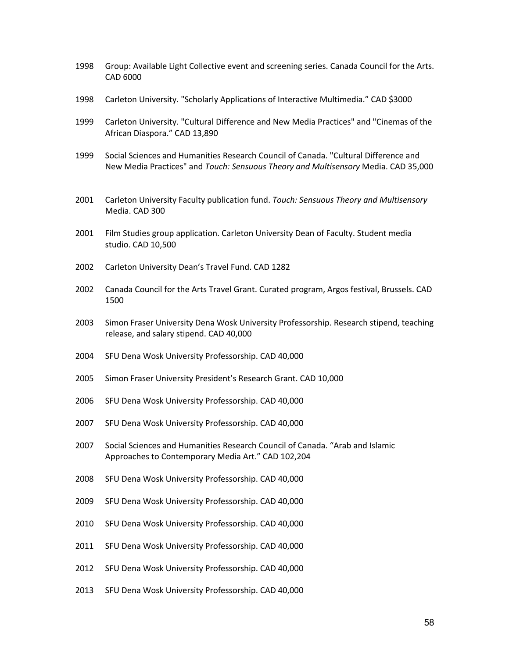- Group: Available Light Collective event and screening series. Canada Council for the Arts. CAD 6000
- Carleton University. "Scholarly Applications of Interactive Multimedia." CAD \$3000
- Carleton University. "Cultural Difference and New Media Practices" and "Cinemas of the African Diaspora." CAD 13,890
- Social Sciences and Humanities Research Council of Canada. "Cultural Difference and New Media Practices" and *Touch: Sensuous Theory and Multisensory* Media. CAD 35,000
- Carleton University Faculty publication fund. *Touch: Sensuous Theory and Multisensory*  Media. CAD 300
- Film Studies group application. Carleton University Dean of Faculty. Student media studio. CAD 10,500
- Carleton University Dean's Travel Fund. CAD 1282
- Canada Council for the Arts Travel Grant. Curated program, Argos festival, Brussels. CAD
- Simon Fraser University Dena Wosk University Professorship. Research stipend, teaching release, and salary stipend. CAD 40,000
- SFU Dena Wosk University Professorship. CAD 40,000
- Simon Fraser University President's Research Grant. CAD 10,000
- SFU Dena Wosk University Professorship. CAD 40,000
- SFU Dena Wosk University Professorship. CAD 40,000
- Social Sciences and Humanities Research Council of Canada. "Arab and Islamic Approaches to Contemporary Media Art." CAD 102,204
- SFU Dena Wosk University Professorship. CAD 40,000
- SFU Dena Wosk University Professorship. CAD 40,000
- SFU Dena Wosk University Professorship. CAD 40,000
- SFU Dena Wosk University Professorship. CAD 40,000
- SFU Dena Wosk University Professorship. CAD 40,000
- SFU Dena Wosk University Professorship. CAD 40,000